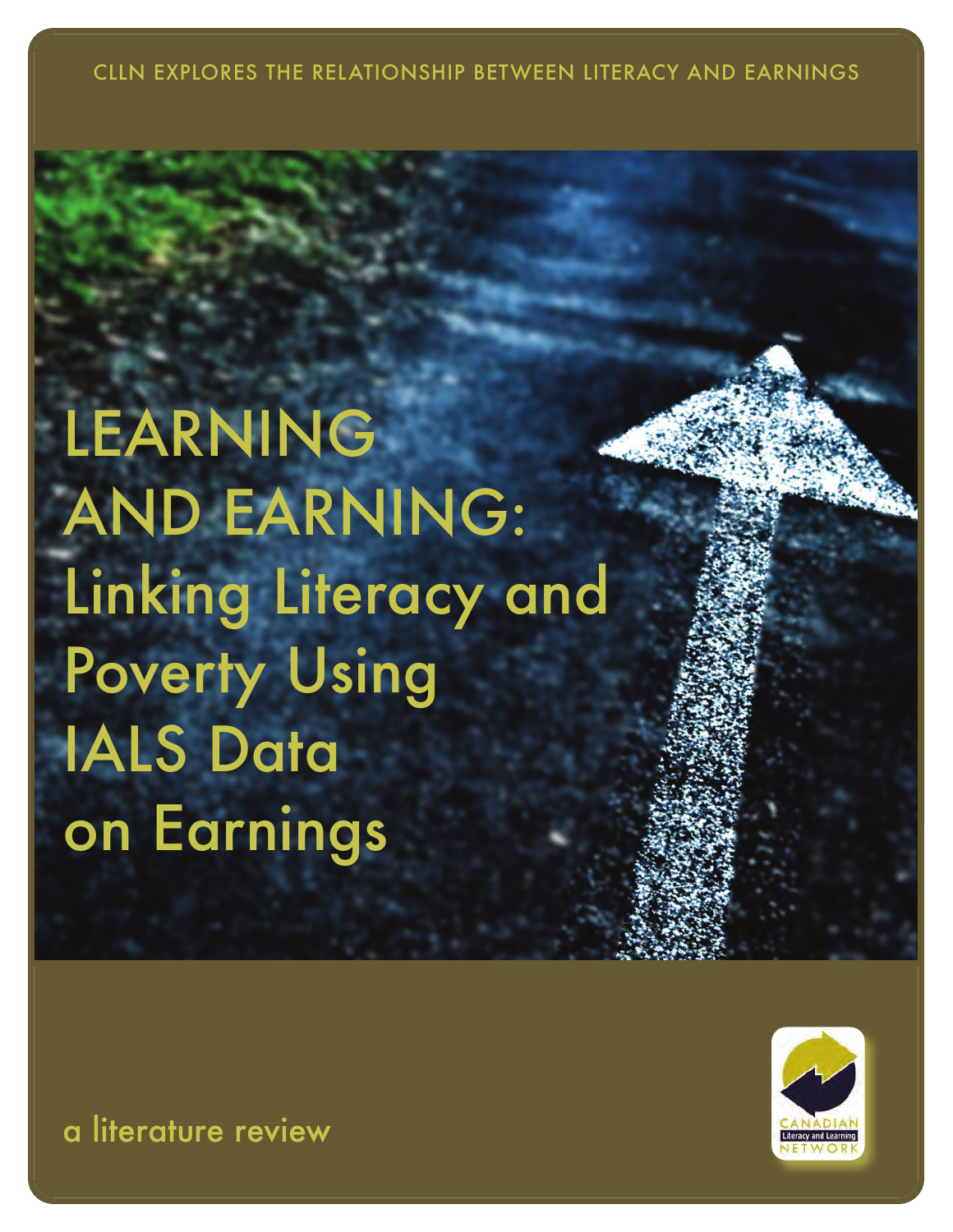CLLN EXPLORES THE RELATIONSHIP BETWEEN LITERACY AND EARNINGS

# LEARNING **AND EARNING:** Linking Literacy and Poverty Using IALS Data on Earnings



a literature review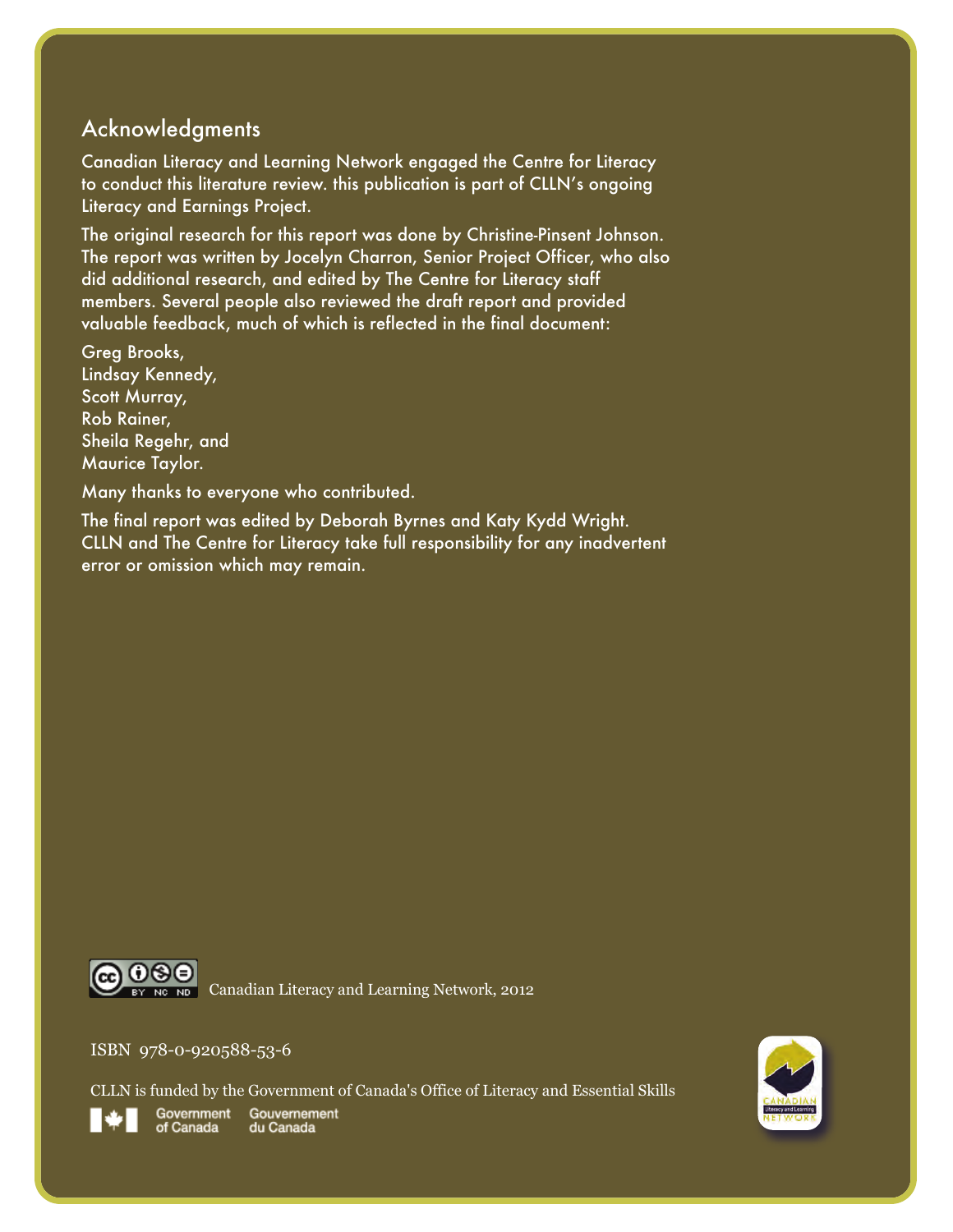#### **Acknowledgments**

Canadian Literacy and Learning Network engaged the Centre for Literacy to conduct this literature review. this publication is part of CLLN's ongoing Literacy and Earnings Project.

the original research for this report was done by Christine-pinsent Johnson. The report was written by Jocelyn Charron, Senior Project Officer, who also did additional research, and edited by the Centre for Literacy staff members. several people also reviewed the draft report and provided valuable feedback, much of which is reflected in the final document:

Greg Brooks, Lindsay Kennedy, Scott Murray, Rob Rainer, Sheila Regehr, and Maurice Taylor.

Many thanks to everyone who contributed.

The final report was edited by Deborah Byrnes and Katy Kydd Wright. CLLN and the Centre for Literacy take full responsibility for any inadvertent error or omission which may remain.



#### ISBN 978-0-920588-53-6

CLLN is funded by the Government of Canada's Office of Literacy and Essential Skills



Government Gouvernement of Canada du Canada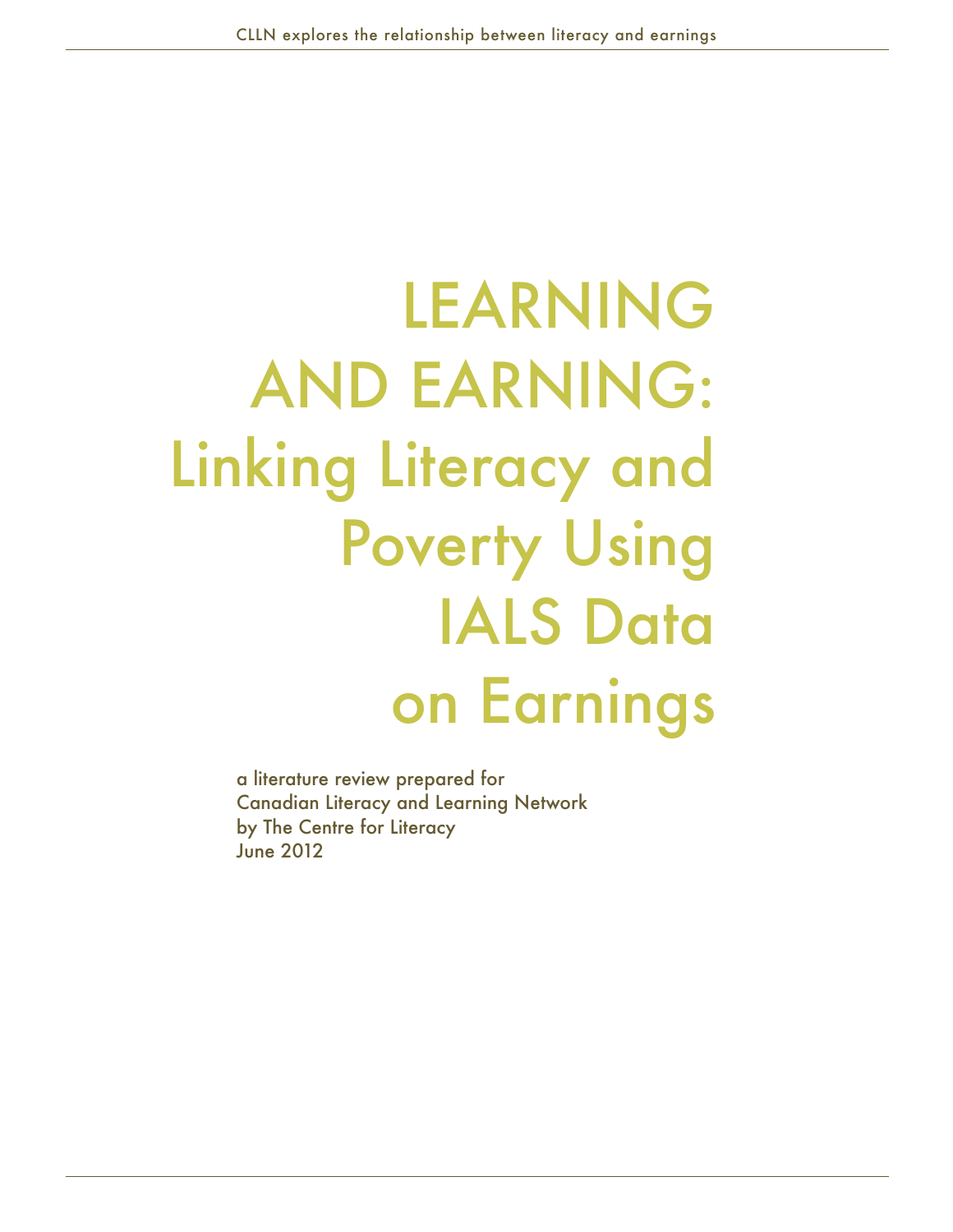# LearNiNg aNd earNiNg: Linking Literacy and **Poverty Using IALS Data** on Earnings

a literature review prepared for Canadian Literacy and Learning Network by The Centre for Literacy June 2012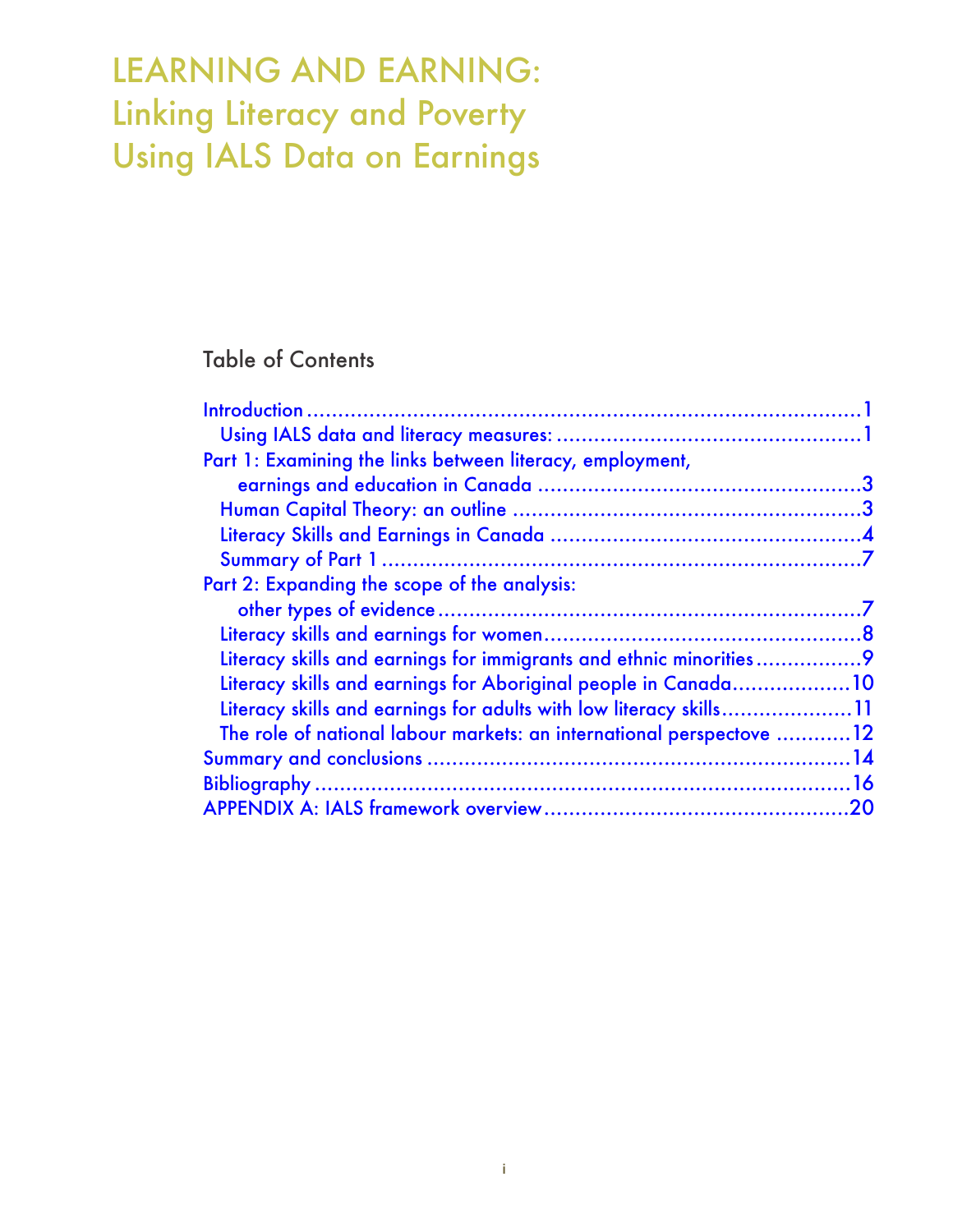# LEArNINg AND EArNINg: Linking Literacy and Poverty Using IALS Data on Earnings

#### Table of Contents

| Part 1: Examining the links between literacy, employment,            |  |
|----------------------------------------------------------------------|--|
|                                                                      |  |
|                                                                      |  |
|                                                                      |  |
|                                                                      |  |
| Part 2: Expanding the scope of the analysis:                         |  |
|                                                                      |  |
|                                                                      |  |
| Literacy skills and earnings for immigrants and ethnic minorities    |  |
| Literacy skills and earnings for Aboriginal people in Canada10       |  |
| Literacy skills and earnings for adults with low literacy skills11   |  |
| The role of national labour markets: an international perspectove 12 |  |
|                                                                      |  |
|                                                                      |  |
|                                                                      |  |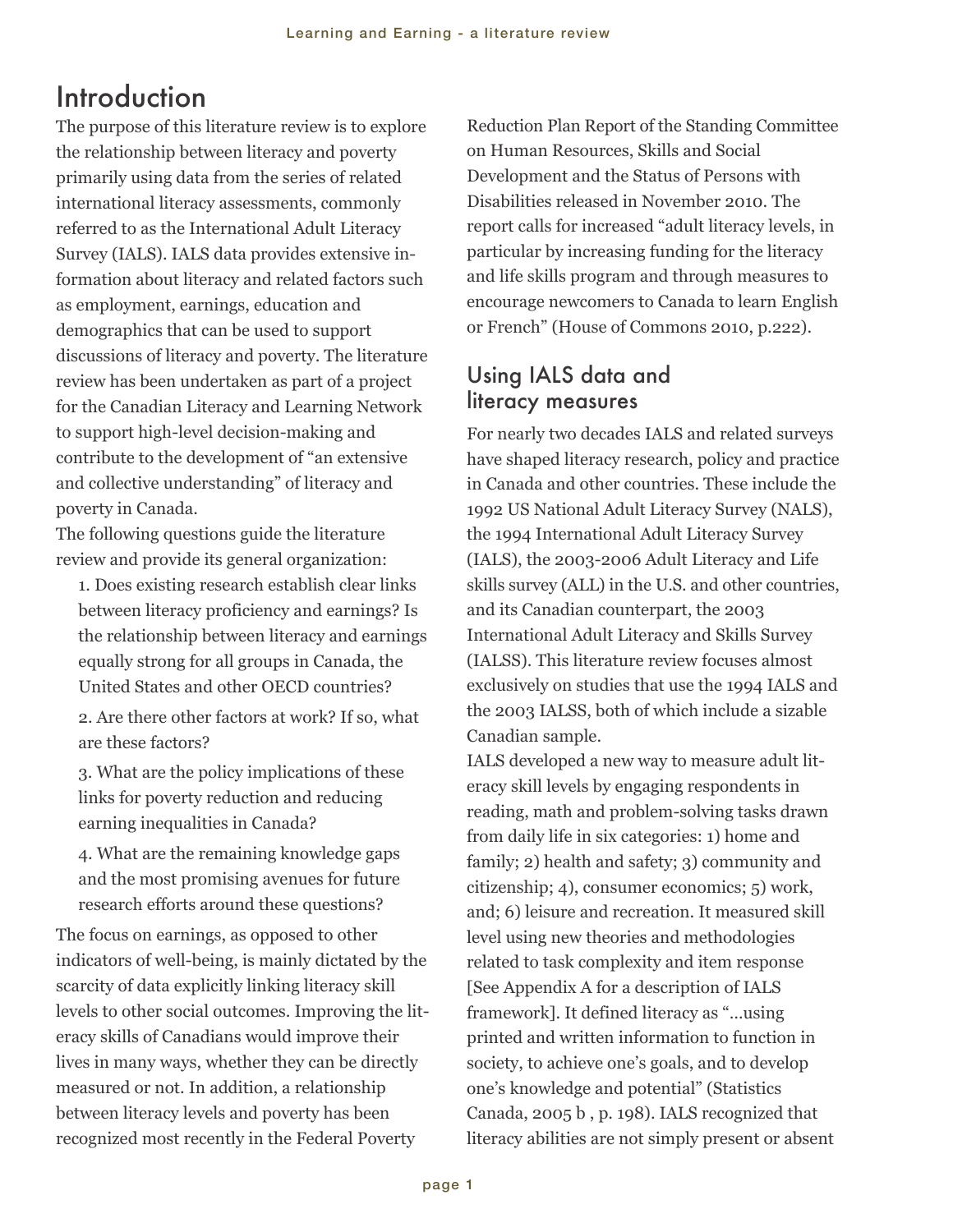## <span id="page-4-0"></span>Introduction

The purpose of this literature review is to explore the relationship between literacy and poverty primarily using data from the series of related international literacy assessments, commonly referred to as the International Adult Literacy Survey (IALS). IALS data provides extensive information about literacy and related factors such as employment, earnings, education and demographics that can be used to support discussions of literacy and poverty. The literature review has been undertaken as part of a project for the Canadian Literacy and Learning Network to support high-level decision-making and contribute to the development of "an extensive and collective understanding" of literacy and poverty in Canada.

The following questions guide the literature review and provide its general organization:

1. Does existing research establish clear links between literacy proficiency and earnings? Is the relationship between literacy and earnings equally strong for all groups in Canada, the United States and other OECD countries?

2. Are there other factors at work? If so, what are these factors?

3. What are the policy implications of these links for poverty reduction and reducing earning inequalities in Canada?

4. What are the remaining knowledge gaps and the most promising avenues for future research efforts around these questions?

The focus on earnings, as opposed to other indicators of well-being, is mainly dictated by the scarcity of data explicitly linking literacy skill levels to other social outcomes. Improving the literacy skills of Canadians would improve their lives in many ways, whether they can be directly measured or not. In addition, a relationship between literacy levels and poverty has been recognized most recently in the Federal Poverty

Reduction Plan Report of the Standing Committee on Human Resources, Skills and Social Development and the Status of Persons with Disabilities released in November 2010. The report calls for increased "adult literacy levels, in particular by increasing funding for the literacy and life skills program and through measures to encourage newcomers to Canada to learn English or French" (House of Commons 2010, p.222).

#### Using IALS data and literacy measures

For nearly two decades IALS and related surveys have shaped literacy research, policy and practice in Canada and other countries. These include the 1992 US National Adult Literacy Survey (NALS), the 1994 International Adult Literacy Survey (IALS), the 2003-2006 Adult Literacy and Life skills survey (ALL) in the U.S. and other countries, and its Canadian counterpart, the 2003 International Adult Literacy and Skills Survey (IALSS). This literature review focuses almost exclusively on studies that use the 1994 IALS and the 2003 IALSS, both of which include a sizable Canadian sample.

IALS developed a new way to measure adult literacy skill levels by engaging respondents in reading, math and problem-solving tasks drawn from daily life in six categories: 1) home and family; 2) health and safety; 3) community and citizenship; 4), consumer economics; 5) work, and; 6) leisure and recreation. It measured skill level using new theories and methodologies related to task complexity and item response [See Appendix A for a description of IALS framework]. It defined literacy as "…using printed and written information to function in society, to achieve one's goals, and to develop one's knowledge and potential" (Statistics Canada, 2005 b , p. 198). IALS recognized that literacy abilities are not simply present or absent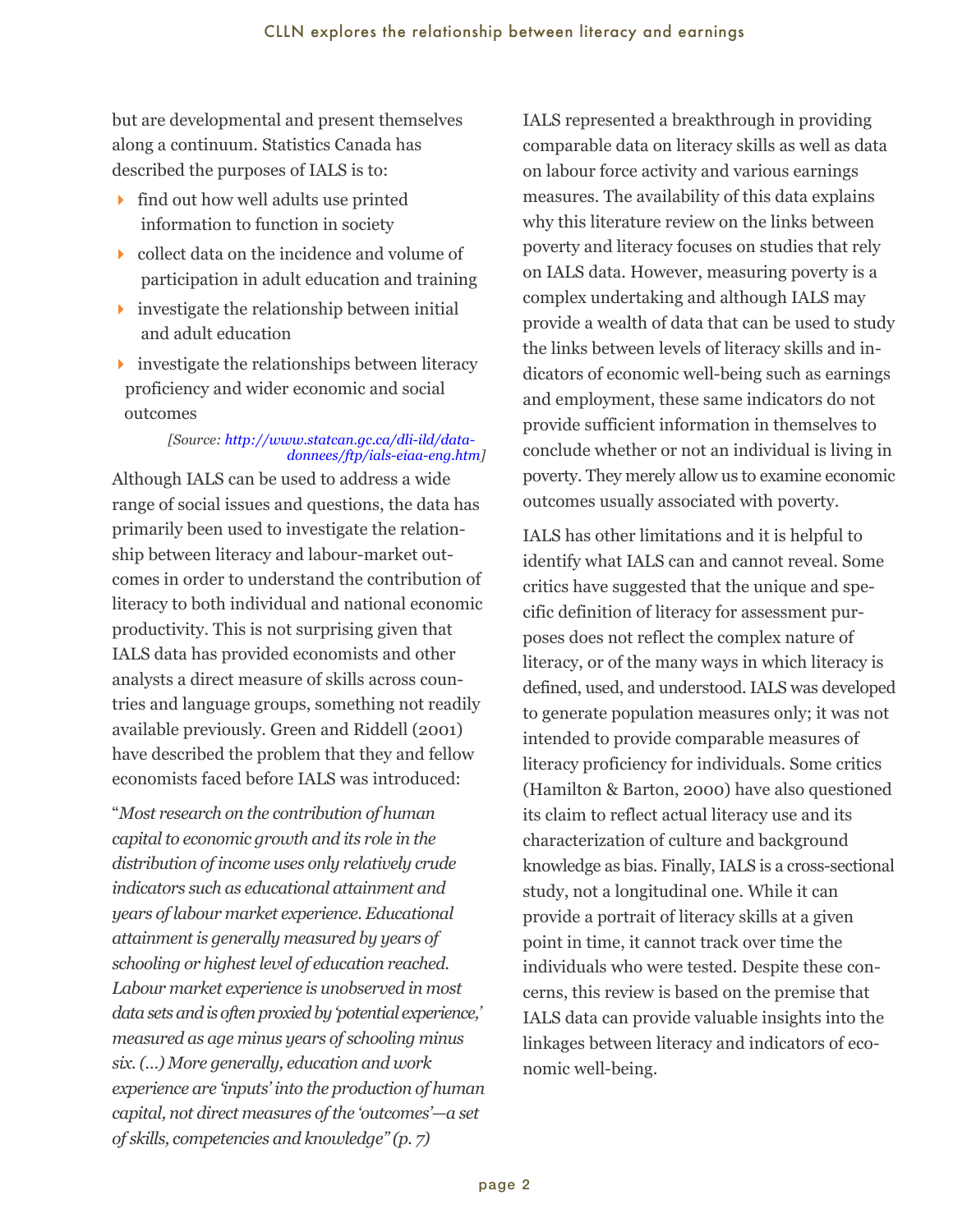but are developmental and present themselves along a continuum. Statistics Canada has described the purposes of IALS is to:

- $\rightarrow$  find out how well adults use printed information to function in society
- $\triangleright$  collect data on the incidence and volume of participation in adult education and training
- $\rightarrow$  investigate the relationship between initial and adult education
- $\rightarrow$  investigate the relationships between literacy proficiency and wider economic and social outcomes

#### *[Source: http://www.statcan.gc.ca/dli-ild/datadonnees/ftp/ials-eiaa-eng.htm]*

Although IALS can be used to address a wide range of social issues and questions, the data has primarily been used to investigate the relationship between literacy and labour-market outcomes in order to understand the contribution of literacy to both individual and national economic productivity. This is not surprising given that IALS data has provided economists and other analysts a direct measure of skills across countries and language groups, something not readily available previously. Green and Riddell (2001) have described the problem that they and fellow economists faced before IALS was introduced:

"*Most research on the contribution of human capital to economic growth and its role in the distribution of income uses only relatively crude indicators such as educational attainment and years of labour market experience. Educational attainment is generally measured by years of schooling or highest level of education reached. Labour market experience is unobserved in most data sets and is often proxied by 'potential experience,' measured as age minus years of schooling minus six. (…) More generally, education and work experience are 'inputs' into the production of human capital, not direct measures of the 'outcomes'—a set of skills, competencies and knowledge" (p. 7)*

IALS represented a breakthrough in providing comparable data on literacy skills as well as data on labour force activity and various earnings measures. The availability of this data explains why this literature review on the links between poverty and literacy focuses on studies that rely on IALS data. However, measuring poverty is a complex undertaking and although IALS may provide a wealth of data that can be used to study the links between levels of literacy skills and indicators of economic well-being such as earnings and employment, these same indicators do not provide sufficient information in themselves to conclude whether or not an individual is living in poverty. They merely allow us to examine economic outcomes usually associated with poverty.

IALS has other limitations and it is helpful to identify what IALS can and cannot reveal. Some critics have suggested that the unique and specific definition of literacy for assessment purposes does not reflect the complex nature of literacy, or of the many ways in which literacy is defined, used, and understood. IALS was developed to generate population measures only; it was not intended to provide comparable measures of literacy proficiency for individuals. Some critics (Hamilton & Barton, 2000) have also questioned its claim to reflect actual literacy use and its characterization of culture and background knowledge as bias. Finally, IALS is a cross-sectional study, not a longitudinal one. While it can provide a portrait of literacy skills at a given point in time, it cannot track over time the individuals who were tested. Despite these concerns, this review is based on the premise that IALS data can provide valuable insights into the linkages between literacy and indicators of economic well-being.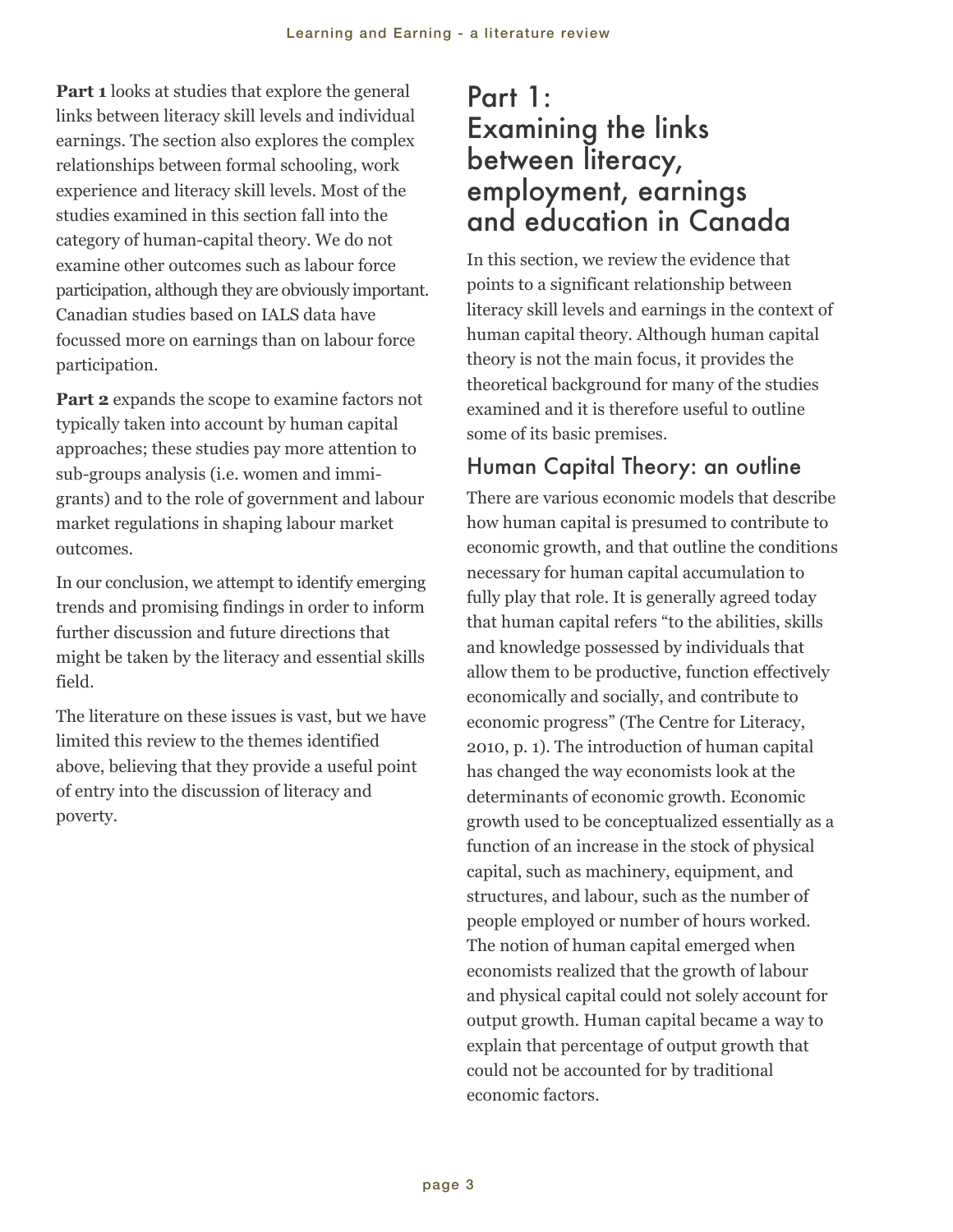<span id="page-6-0"></span>**Part 1** looks at studies that explore the general links between literacy skill levels and individual earnings. The section also explores the complex relationships between formal schooling, work experience and literacy skill levels. Most of the studies examined in this section fall into the category of human-capital theory. We do not examine other outcomes such as labour force participation, although they are obviously important. Canadian studies based on IALS data have focussed more on earnings than on labour force participation.

**Part 2** expands the scope to examine factors not typically taken into account by human capital approaches; these studies pay more attention to sub-groups analysis (i.e. women and immigrants) and to the role of government and labour market regulations in shaping labour market outcomes.

In our conclusion, we attempt to identify emerging trends and promising findings in order to inform further discussion and future directions that might be taken by the literacy and essential skills field.

The literature on these issues is vast, but we have limited this review to the themes identified above, believing that they provide a useful point of entry into the discussion of literacy and poverty.

## Part 1: Examining the links between literacy, employment, earnings and education in Canada

In this section, we review the evidence that points to a significant relationship between literacy skill levels and earnings in the context of human capital theory. Although human capital theory is not the main focus, it provides the theoretical background for many of the studies examined and it is therefore useful to outline some of its basic premises.

## Human Capital Theory: an outline

There are various economic models that describe how human capital is presumed to contribute to economic growth, and that outline the conditions necessary for human capital accumulation to fully play that role. It is generally agreed today that human capital refers "to the abilities, skills and knowledge possessed by individuals that allow them to be productive, function effectively economically and socially, and contribute to economic progress" (The Centre for Literacy, 2010, p. 1). The introduction of human capital has changed the way economists look at the determinants of economic growth. Economic growth used to be conceptualized essentially as a function of an increase in the stock of physical capital, such as machinery, equipment, and structures, and labour, such as the number of people employed or number of hours worked. The notion of human capital emerged when economists realized that the growth of labour and physical capital could not solely account for output growth. Human capital became a way to explain that percentage of output growth that could not be accounted for by traditional economic factors.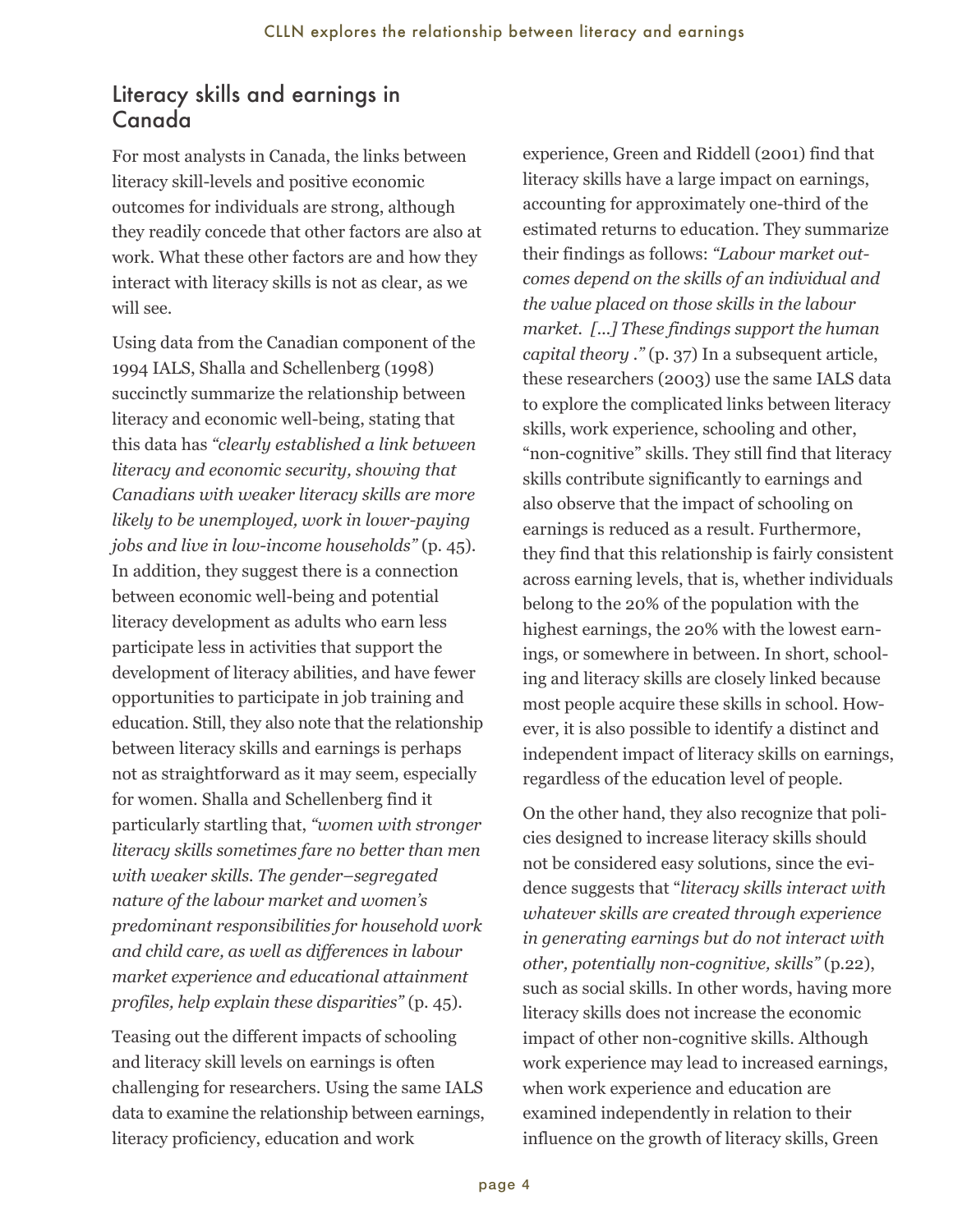#### <span id="page-7-0"></span>Literacy skills and earnings in Canada

For most analysts in Canada, the links between literacy skill-levels and positive economic outcomes for individuals are strong, although they readily concede that other factors are also at work. What these other factors are and how they interact with literacy skills is not as clear, as we will see.

Using data from the Canadian component of the 1994 IALS, Shalla and Schellenberg (1998) succinctly summarize the relationship between literacy and economic well-being, stating that this data has *"clearly established a link between literacy and economic security, showing that Canadians with weaker literacy skills are more likely to be unemployed, work in lower-paying jobs and live in low-income households"* (p. 45). In addition, they suggest there is a connection between economic well-being and potential literacy development as adults who earn less participate less in activities that support the development of literacy abilities, and have fewer opportunities to participate in job training and education. Still, they also note that the relationship between literacy skills and earnings is perhaps not as straightforward as it may seem, especially for women. Shalla and Schellenberg find it particularly startling that, *"women with stronger literacy skills sometimes fare no better than men with weaker skills. The gender–segregated nature of the labour market and women's predominant responsibilities for household work and child care, as well as differences in labour market experience and educational attainment profiles, help explain these disparities"* (p. 45).

Teasing out the different impacts of schooling and literacy skill levels on earnings is often challenging for researchers. Using the same IALS data to examine the relationship between earnings, literacy proficiency, education and work

 experience, Green and Riddell (2001) find that literacy skills have a large impact on earnings, accounting for approximately one-third of the estimated returns to education. They summarize their findings as follows: *"Labour market outcomes depend on the skills of an individual and the value placed on those skills in the labour market. [...] These findings support the human capital theory ."* (p. 37) In a subsequent article, these researchers (2003) use the same IALS data to explore the complicated links between literacy skills, work experience, schooling and other, "non-cognitive" skills. They still find that literacy skills contribute significantly to earnings and also observe that the impact of schooling on earnings is reduced as a result. Furthermore, they find that this relationship is fairly consistent across earning levels, that is, whether individuals belong to the 20% of the population with the highest earnings, the 20% with the lowest earnings, or somewhere in between. In short, schooling and literacy skills are closely linked because most people acquire these skills in school. However, it is also possible to identify a distinct and independent impact of literacy skills on earnings, regardless of the education level of people.

On the other hand, they also recognize that policies designed to increase literacy skills should not be considered easy solutions, since the evidence suggests that "*literacy skills interact with whatever skills are created through experience in generating earnings but do not interact with other, potentially non-cognitive, skills"* (p.22), such as social skills. In other words, having more literacy skills does not increase the economic impact of other non-cognitive skills. Although work experience may lead to increased earnings, when work experience and education are examined independently in relation to their influence on the growth of literacy skills, Green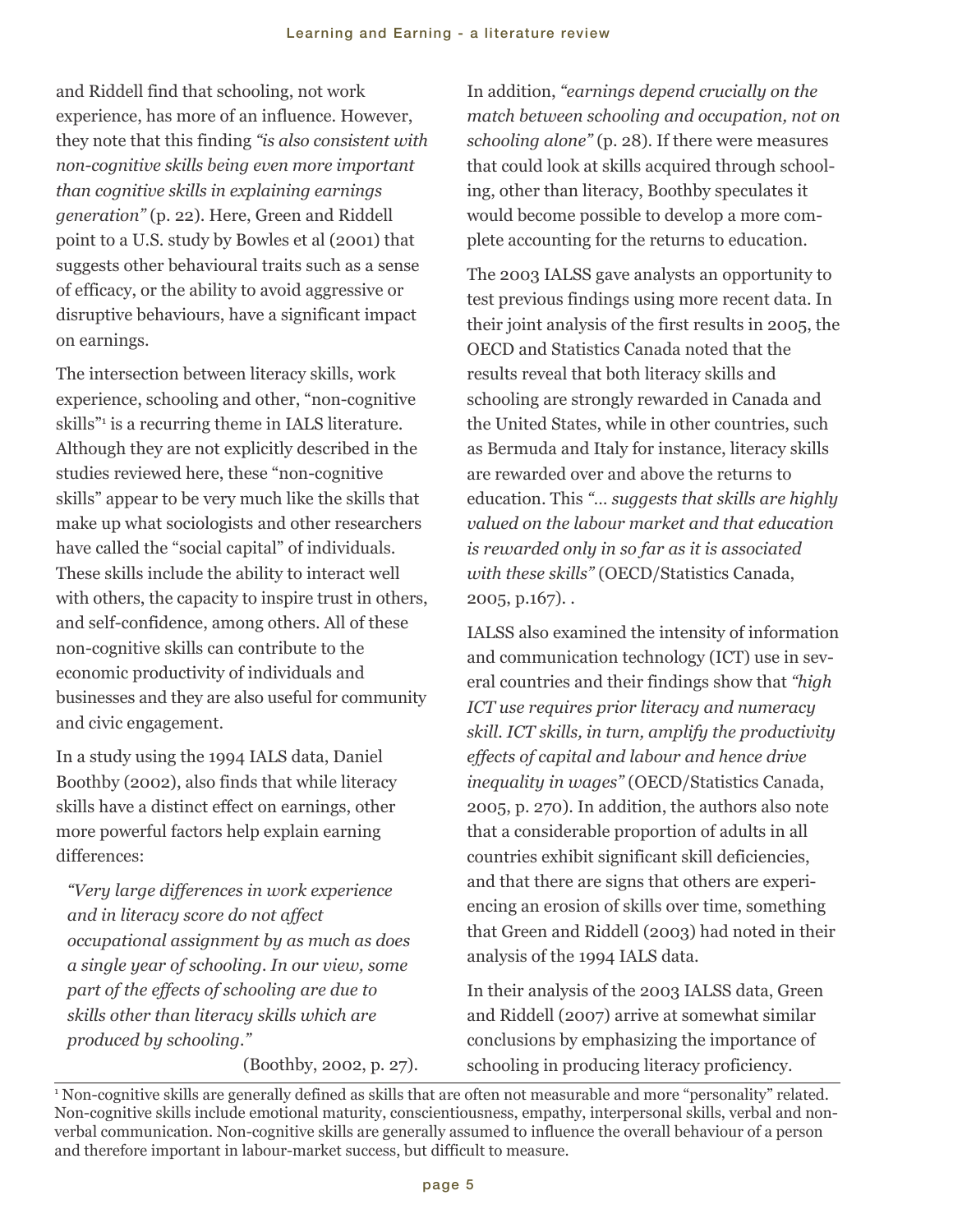and Riddell find that schooling, not work experience, has more of an influence. However, they note that this finding *"is also consistent with non-cognitive skills being even more important than cognitive skills in explaining earnings generation"* (p. 22). Here, Green and Riddell point to a U.S. study by Bowles et al (2001) that suggests other behavioural traits such as a sense of efficacy, or the ability to avoid aggressive or disruptive behaviours, have a significant impact on earnings.

The intersection between literacy skills, work experience, schooling and other, "non-cognitive skills"<sup>1</sup> is a recurring theme in IALS literature. Although they are not explicitly described in the studies reviewed here, these "non-cognitive skills" appear to be very much like the skills that make up what sociologists and other researchers have called the "social capital" of individuals. These skills include the ability to interact well with others, the capacity to inspire trust in others, and self-confidence, among others. All of these non-cognitive skills can contribute to the economic productivity of individuals and businesses and they are also useful for community and civic engagement.

In a study using the 1994 IALS data, Daniel Boothby (2002), also finds that while literacy skills have a distinct effect on earnings, other more powerful factors help explain earning differences:

*"Very large differences in work experience and in literacy score do not affect occupational assignment by as much as does a single year of schooling. In our view, some part of the effects of schooling are due to skills other than literacy skills which are produced by schooling."* 

(Boothby, 2002, p. 27).

In addition, *"earnings depend crucially on the match between schooling and occupation, not on schooling alone"* (p. 28). If there were measures that could look at skills acquired through schooling, other than literacy, Boothby speculates it would become possible to develop a more complete accounting for the returns to education.

The 2003 IALSS gave analysts an opportunity to test previous findings using more recent data. In their joint analysis of the first results in 2005, the OECD and Statistics Canada noted that the results reveal that both literacy skills and schooling are strongly rewarded in Canada and the United States, while in other countries, such as Bermuda and Italy for instance, literacy skills are rewarded over and above the returns to education. This *"… suggests that skills are highly valued on the labour market and that education is rewarded only in so far as it is associated with these skills"* (OECD/Statistics Canada, 2005, p.167). .

IALSS also examined the intensity of information and communication technology (ICT) use in several countries and their findings show that *"high ICT use requires prior literacy and numeracy skill. ICT skills, in turn, amplify the productivity effects of capital and labour and hence drive inequality in wages"* (OECD/Statistics Canada, 2005, p. 270). In addition, the authors also note that a considerable proportion of adults in all countries exhibit significant skill deficiencies, and that there are signs that others are experiencing an erosion of skills over time, something that Green and Riddell (2003) had noted in their analysis of the 1994 IALS data.

In their analysis of the 2003 IALSS data, Green and Riddell (2007) arrive at somewhat similar conclusions by emphasizing the importance of schooling in producing literacy proficiency.

<sup>1</sup> Non-cognitive skills are generally defined as skills that are often not measurable and more "personality" related. Non-cognitive skills include emotional maturity, conscientiousness, empathy, interpersonal skills, verbal and nonverbal communication. Non-cognitive skills are generally assumed to influence the overall behaviour of a person and therefore important in labour-market success, but difficult to measure.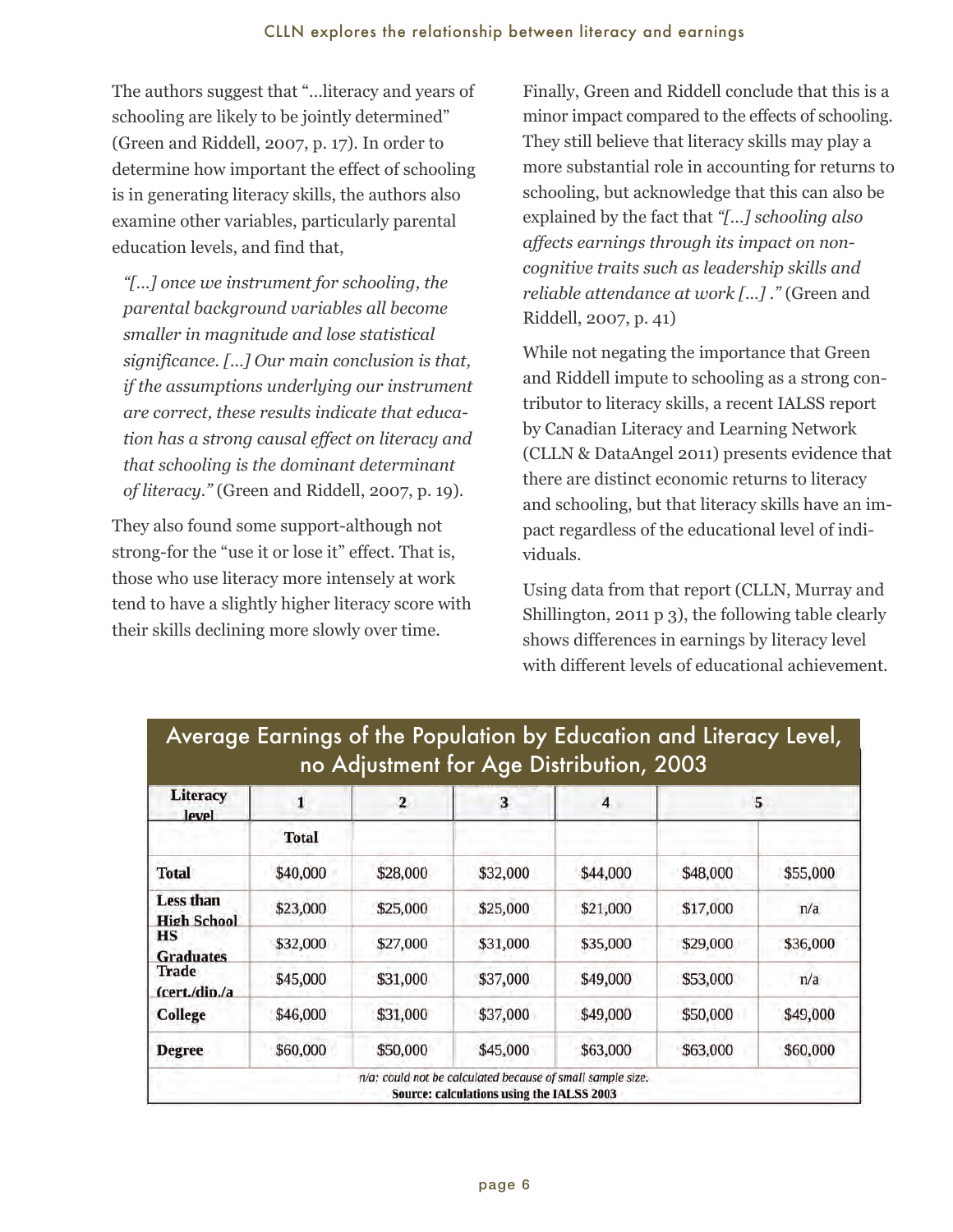The authors suggest that "…literacy and years of schooling are likely to be jointly determined" (Green and Riddell, 2007, p. 17). In order to determine how important the effect of schooling is in generating literacy skills, the authors also examine other variables, particularly parental education levels, and find that,

*"[…] once we instrument for schooling, the parental background variables all become smaller in magnitude and lose statistical significance. […] Our main conclusion is that, if the assumptions underlying our instrument are correct, these results indicate that education has a strong causal effect on literacy and that schooling is the dominant determinant of literacy."* (Green and Riddell, 2007, p. 19).

They also found some support-although not strong-for the "use it or lose it" effect. That is, those who use literacy more intensely at work tend to have a slightly higher literacy score with their skills declining more slowly over time.

Finally, Green and Riddell conclude that this is a minor impact compared to the effects of schooling. They still believe that literacy skills may play a more substantial role in accounting for returns to schooling, but acknowledge that this can also be explained by the fact that *"[…] schooling also affects earnings through its impact on noncognitive traits such as leadership skills and reliable attendance at work […] ."* (Green and Riddell, 2007, p. 41)

While not negating the importance that Green and Riddell impute to schooling as a strong contributor to literacy skills, a recent IALSS report by Canadian Literacy and Learning Network (CLLN & DataAngel 2011) presents evidence that there are distinct economic returns to literacy and schooling, but that literacy skills have an impact regardless of the educational level of individuals.

Using data from that report (CLLN, Murray and Shillington, 2011 p 3), the following table clearly shows differences in earnings by literacy level with different levels of educational achievement.

| <b>Literacy</b><br>level               | 1<br>Total | $\overline{\mathbf{2}}$ | 3        | 4        | 5        |          |
|----------------------------------------|------------|-------------------------|----------|----------|----------|----------|
|                                        |            |                         |          |          |          |          |
| <b>Total</b>                           | \$40,000   | \$28,000                | \$32,000 | \$44,000 | \$48,000 | \$55,000 |
| <b>Less than</b><br><b>High School</b> | \$23,000   | \$25,000                | \$25,000 | \$21,000 | \$17,000 | n/a      |
| <b>HS</b><br><b>Graduates</b>          | \$32,000   | \$27,000                | \$31,000 | \$35,000 | \$29,000 | \$36,000 |
| <b>Trade</b><br>(cert./din./a          | \$45,000   | \$31,000                | \$37,000 | \$49,000 | \$53,000 | n/a      |
| <b>College</b>                         | \$46,000   | \$31,000                | \$37,000 | \$49,000 | \$50,000 | \$49,000 |
| <b>Degree</b>                          | \$60,000   | \$50,000                | \$45,000 | \$63,000 | \$63,000 | \$60,000 |

## Average Earnings of the Population by Education and Literacy Level, no Adjustment for Age Distribution, 2003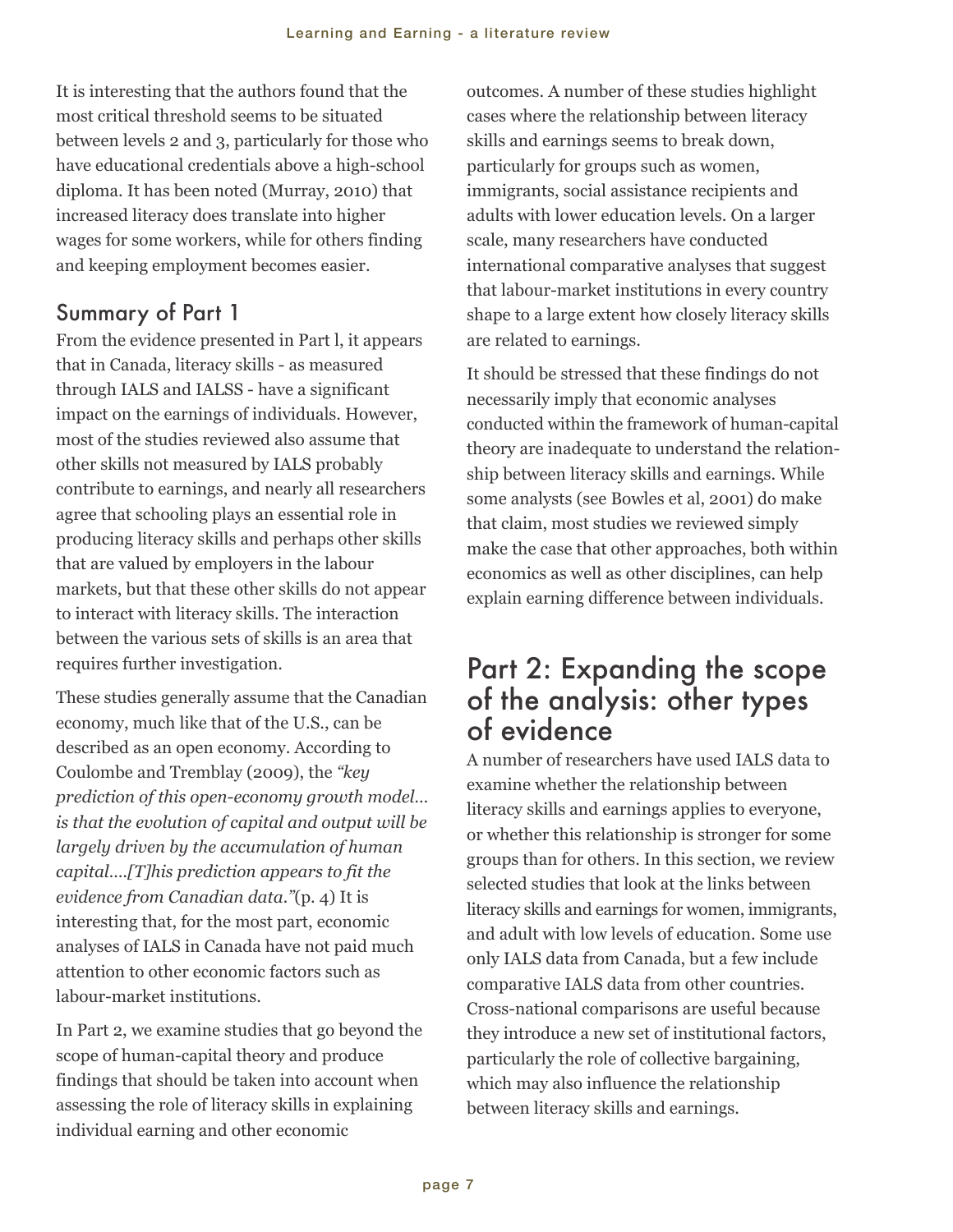<span id="page-10-0"></span>It is interesting that the authors found that the most critical threshold seems to be situated between levels 2 and 3, particularly for those who have educational credentials above a high-school diploma. It has been noted (Murray, 2010) that increased literacy does translate into higher wages for some workers, while for others finding and keeping employment becomes easier.

### Summary of Part 1

From the evidence presented in Part l, it appears that in Canada, literacy skills - as measured through IALS and IALSS - have a significant impact on the earnings of individuals. However, most of the studies reviewed also assume that other skills not measured by IALS probably contribute to earnings, and nearly all researchers agree that schooling plays an essential role in producing literacy skills and perhaps other skills that are valued by employers in the labour markets, but that these other skills do not appear to interact with literacy skills. The interaction between the various sets of skills is an area that requires further investigation.

These studies generally assume that the Canadian economy, much like that of the U.S., can be described as an open economy. According to Coulombe and Tremblay (2009), the *"key prediction of this open-economy growth model… is that the evolution of capital and output will be largely driven by the accumulation of human capital….[T]his prediction appears to fit the evidence from Canadian data."*(p. 4) It is interesting that, for the most part, economic analyses of IALS in Canada have not paid much attention to other economic factors such as labour-market institutions.

In Part 2, we examine studies that go beyond the scope of human-capital theory and produce findings that should be taken into account when assessing the role of literacy skills in explaining individual earning and other economic

 outcomes. A number of these studies highlight cases where the relationship between literacy skills and earnings seems to break down, particularly for groups such as women, immigrants, social assistance recipients and adults with lower education levels. On a larger scale, many researchers have conducted international comparative analyses that suggest that labour-market institutions in every country shape to a large extent how closely literacy skills are related to earnings.

It should be stressed that these findings do not necessarily imply that economic analyses conducted within the framework of human-capital theory are inadequate to understand the relationship between literacy skills and earnings. While some analysts (see Bowles et al, 2001) do make that claim, most studies we reviewed simply make the case that other approaches, both within economics as well as other disciplines, can help explain earning difference between individuals.

## Part 2: Expanding the scope of the analysis: other types of evidence

A number of researchers have used IALS data to examine whether the relationship between literacy skills and earnings applies to everyone, or whether this relationship is stronger for some groups than for others. In this section, we review selected studies that look at the links between literacy skills and earnings for women, immigrants, and adult with low levels of education. Some use only IALS data from Canada, but a few include comparative IALS data from other countries. Cross-national comparisons are useful because they introduce a new set of institutional factors, particularly the role of collective bargaining, which may also influence the relationship between literacy skills and earnings.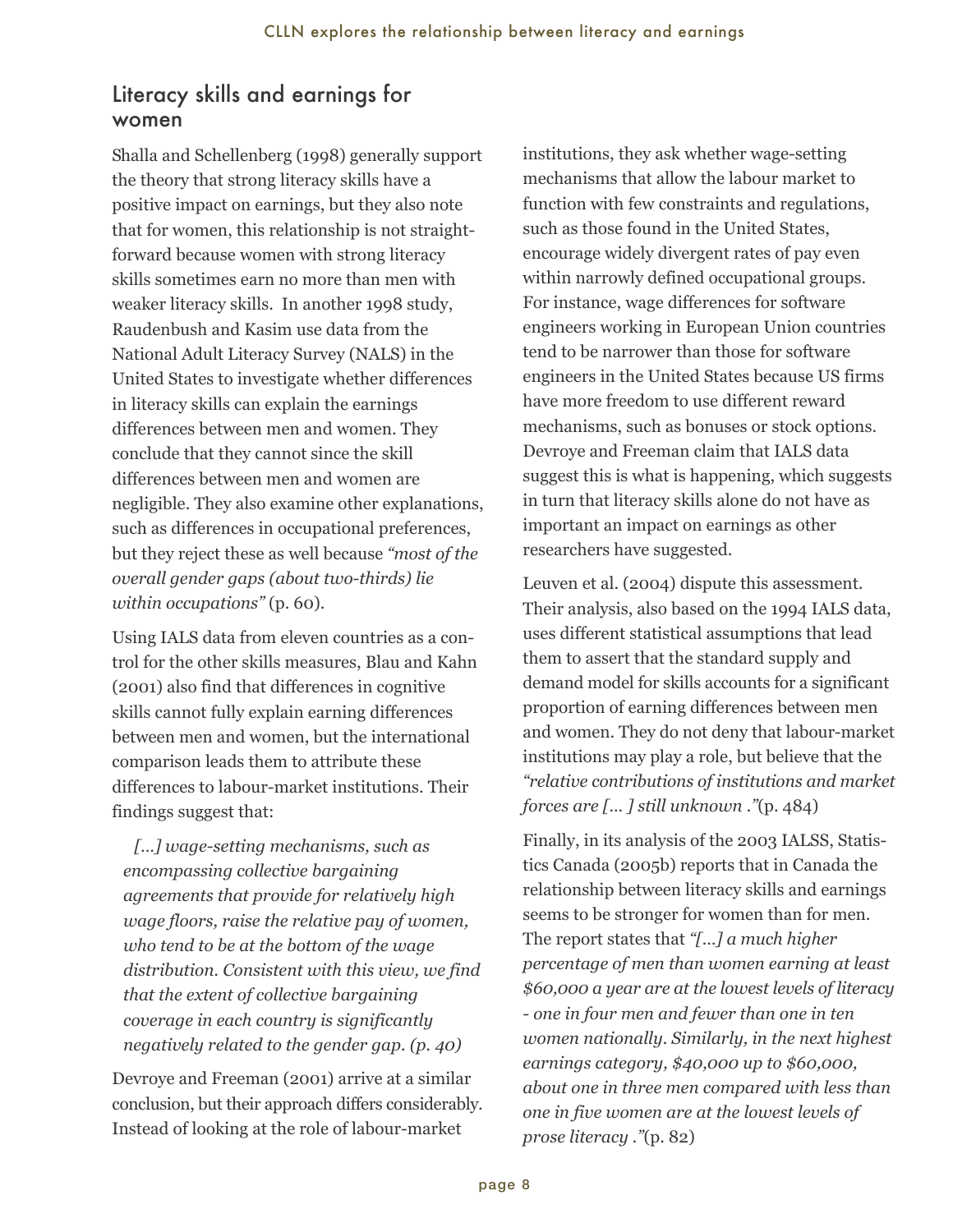#### <span id="page-11-0"></span>Literacy skills and earnings for women

Shalla and Schellenberg (1998) generally support the theory that strong literacy skills have a positive impact on earnings, but they also note that for women, this relationship is not straightforward because women with strong literacy skills sometimes earn no more than men with weaker literacy skills. In another 1998 study, Raudenbush and Kasim use data from the National Adult Literacy Survey (NALS) in the United States to investigate whether differences in literacy skills can explain the earnings differences between men and women. They conclude that they cannot since the skill differences between men and women are negligible. They also examine other explanations, such as differences in occupational preferences, but they reject these as well because *"most of the overall gender gaps (about two-thirds) lie within occupations"* (p. 60).

Using IALS data from eleven countries as a control for the other skills measures, Blau and Kahn (2001) also find that differences in cognitive skills cannot fully explain earning differences between men and women, but the international comparison leads them to attribute these differences to labour-market institutions. Their findings suggest that:

*[…] wage-setting mechanisms, such as encompassing collective bargaining agreements that provide for relatively high wage floors, raise the relative pay of women, who tend to be at the bottom of the wage distribution. Consistent with this view, we find that the extent of collective bargaining coverage in each country is significantly negatively related to the gender gap. (p. 40)*

Devroye and Freeman (2001) arrive at a similar conclusion, but their approach differs considerably. Instead of looking at the role of labour-market

 institutions, they ask whether wage-setting mechanisms that allow the labour market to function with few constraints and regulations, such as those found in the United States, encourage widely divergent rates of pay even within narrowly defined occupational groups. For instance, wage differences for software engineers working in European Union countries tend to be narrower than those for software engineers in the United States because US firms have more freedom to use different reward mechanisms, such as bonuses or stock options. Devroye and Freeman claim that IALS data suggest this is what is happening, which suggests in turn that literacy skills alone do not have as important an impact on earnings as other researchers have suggested.

Leuven et al. (2004) dispute this assessment. Their analysis, also based on the 1994 IALS data, uses different statistical assumptions that lead them to assert that the standard supply and demand model for skills accounts for a significant proportion of earning differences between men and women. They do not deny that labour-market institutions may play a role, but believe that the *"relative contributions of institutions and market forces are [… ] still unknown ."*(p. 484)

Finally, in its analysis of the 2003 IALSS, Statistics Canada (2005b) reports that in Canada the relationship between literacy skills and earnings seems to be stronger for women than for men. The report states that *"[…] a much higher percentage of men than women earning at least \$60,000 a year are at the lowest levels of literacy - one in four men and fewer than one in ten women nationally. Similarly, in the next highest earnings category, \$40,000 up to \$60,000, about one in three men compared with less than one in five women are at the lowest levels of prose literacy ."*(p. 82)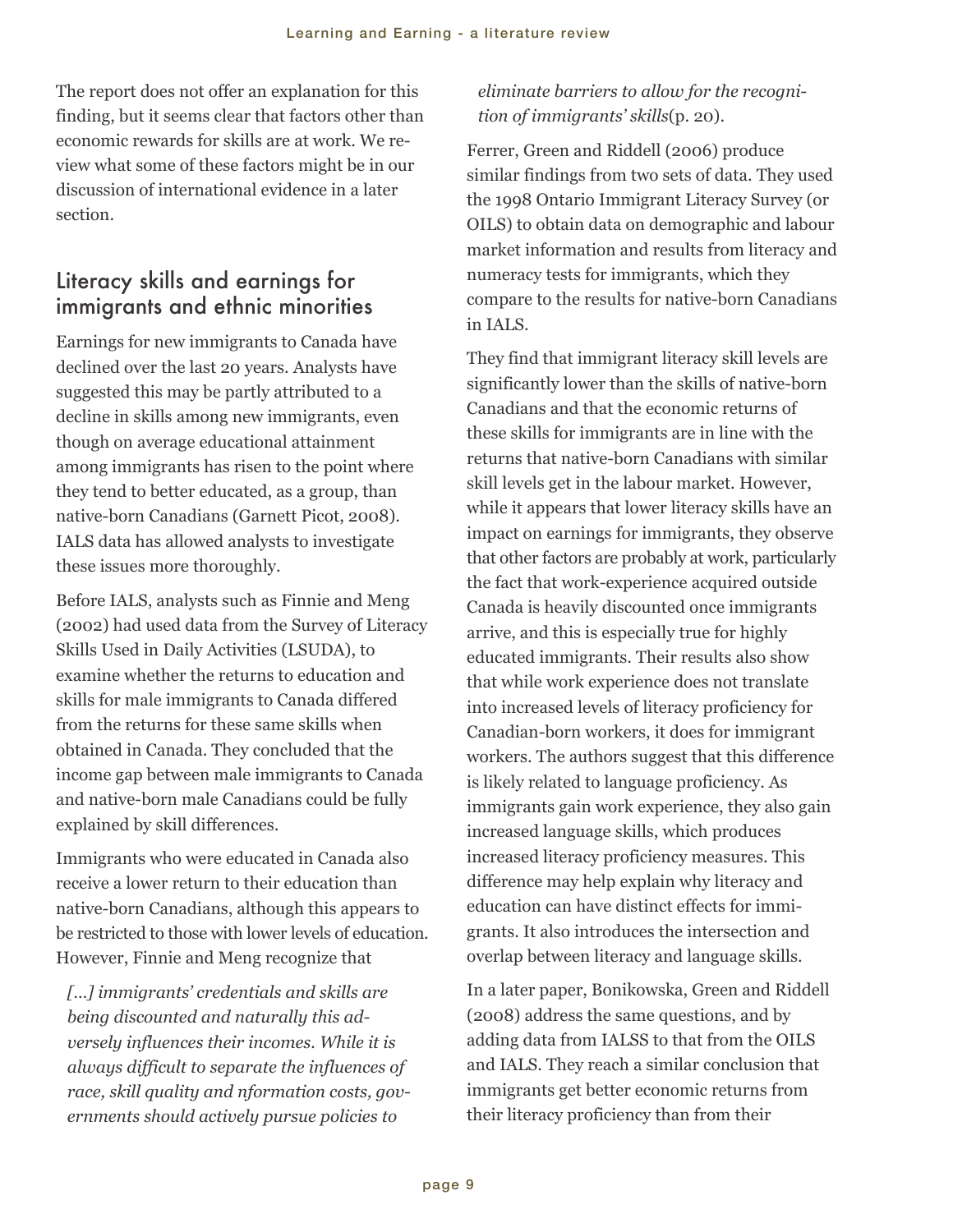<span id="page-12-0"></span>The report does not offer an explanation for this finding, but it seems clear that factors other than economic rewards for skills are at work. We review what some of these factors might be in our discussion of international evidence in a later section.

#### Literacy skills and earnings for immigrants and ethnic minorities

Earnings for new immigrants to Canada have declined over the last 20 years. Analysts have suggested this may be partly attributed to a decline in skills among new immigrants, even though on average educational attainment among immigrants has risen to the point where they tend to better educated, as a group, than native-born Canadians (Garnett Picot, 2008). IALS data has allowed analysts to investigate these issues more thoroughly.

Before IALS, analysts such as Finnie and Meng (2002) had used data from the Survey of Literacy Skills Used in Daily Activities (LSUDA), to examine whether the returns to education and skills for male immigrants to Canada differed from the returns for these same skills when obtained in Canada. They concluded that the income gap between male immigrants to Canada and native-born male Canadians could be fully explained by skill differences.

Immigrants who were educated in Canada also receive a lower return to their education than native-born Canadians, although this appears to be restricted to those with lower levels of education. However, Finnie and Meng recognize that

*[…] immigrants' credentials and skills are being discounted and naturally this adversely influences their incomes. While it is always difficult to separate the influences of race, skill quality and nformation costs, governments should actively pursue policies to*

#### *eliminate barriers to allow for the recognition of immigrants' skills*(p. 20).

Ferrer, Green and Riddell (2006) produce similar findings from two sets of data. They used the 1998 Ontario Immigrant Literacy Survey (or OILS) to obtain data on demographic and labour market information and results from literacy and numeracy tests for immigrants, which they compare to the results for native-born Canadians in IALS.

They find that immigrant literacy skill levels are significantly lower than the skills of native-born Canadians and that the economic returns of these skills for immigrants are in line with the returns that native-born Canadians with similar skill levels get in the labour market. However, while it appears that lower literacy skills have an impact on earnings for immigrants, they observe that other factors are probably at work, particularly the fact that work-experience acquired outside Canada is heavily discounted once immigrants arrive, and this is especially true for highly educated immigrants. Their results also show that while work experience does not translate into increased levels of literacy proficiency for Canadian-born workers, it does for immigrant workers. The authors suggest that this difference is likely related to language proficiency. As immigrants gain work experience, they also gain increased language skills, which produces increased literacy proficiency measures. This difference may help explain why literacy and education can have distinct effects for immigrants. It also introduces the intersection and overlap between literacy and language skills.

In a later paper, Bonikowska, Green and Riddell (2008) address the same questions, and by adding data from IALSS to that from the OILS and IALS. They reach a similar conclusion that immigrants get better economic returns from their literacy proficiency than from their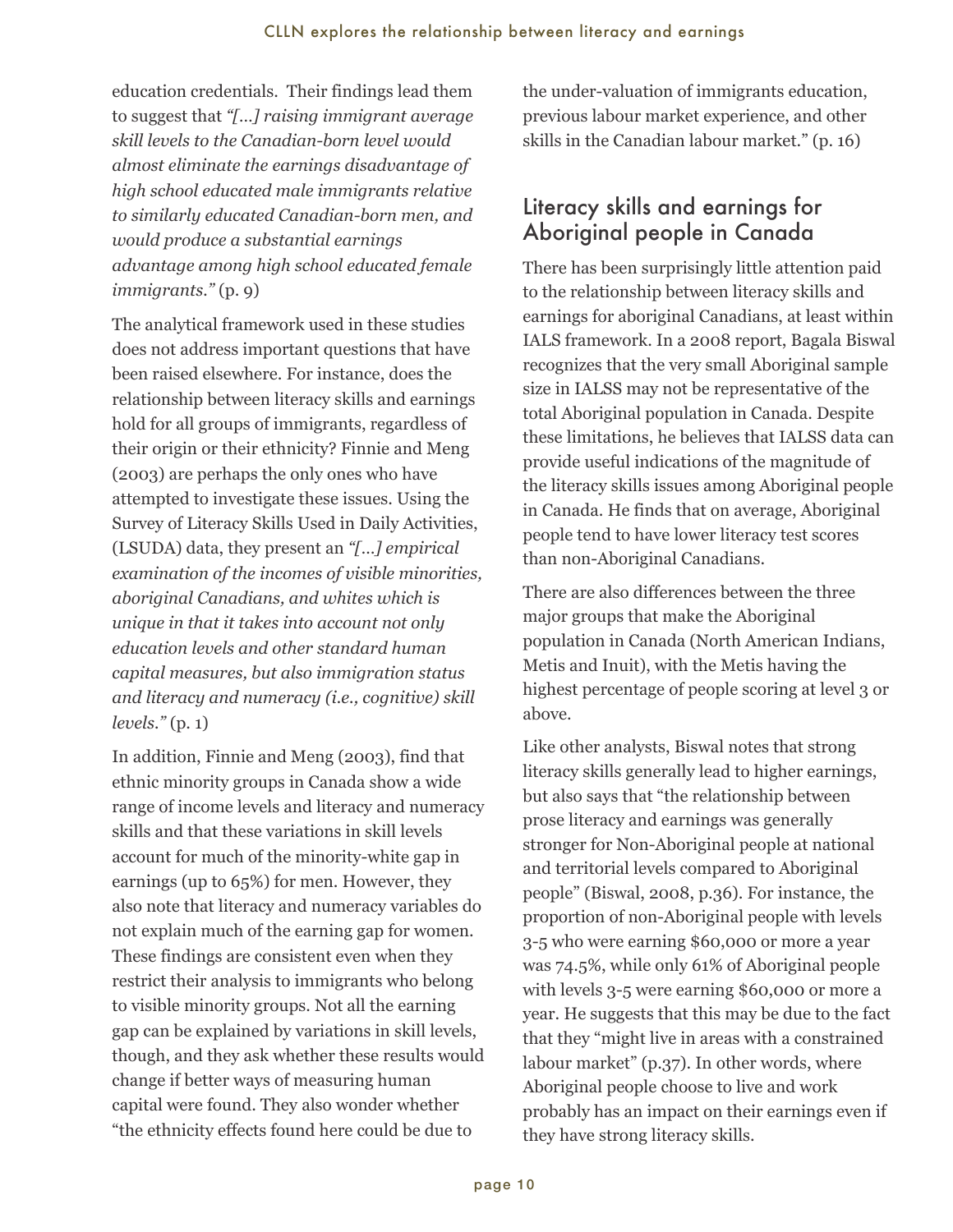<span id="page-13-0"></span> education credentials. Their findings lead them to suggest that *"[…] raising immigrant average skill levels to the Canadian-born level would almost eliminate the earnings disadvantage of high school educated male immigrants relative to similarly educated Canadian-born men, and would produce a substantial earnings advantage among high school educated female immigrants."* (p. 9)

The analytical framework used in these studies does not address important questions that have been raised elsewhere. For instance, does the relationship between literacy skills and earnings hold for all groups of immigrants, regardless of their origin or their ethnicity? Finnie and Meng (2003) are perhaps the only ones who have attempted to investigate these issues. Using the Survey of Literacy Skills Used in Daily Activities, (LSUDA) data, they present an *"[…] empirical examination of the incomes of visible minorities, aboriginal Canadians, and whites which is unique in that it takes into account not only education levels and other standard human capital measures, but also immigration status and literacy and numeracy (i.e., cognitive) skill levels."* (p. 1)

In addition, Finnie and Meng (2003), find that ethnic minority groups in Canada show a wide range of income levels and literacy and numeracy skills and that these variations in skill levels account for much of the minority-white gap in earnings (up to 65%) for men. However, they also note that literacy and numeracy variables do not explain much of the earning gap for women. These findings are consistent even when they restrict their analysis to immigrants who belong to visible minority groups. Not all the earning gap can be explained by variations in skill levels, though, and they ask whether these results would change if better ways of measuring human capital were found. They also wonder whether "the ethnicity effects found here could be due to

the under-valuation of immigrants education, previous labour market experience, and other skills in the Canadian labour market." (p. 16)

## Literacy skills and earnings for Aboriginal people in Canada

There has been surprisingly little attention paid to the relationship between literacy skills and earnings for aboriginal Canadians, at least within IALS framework. In a 2008 report, Bagala Biswal recognizes that the very small Aboriginal sample size in IALSS may not be representative of the total Aboriginal population in Canada. Despite these limitations, he believes that IALSS data can provide useful indications of the magnitude of the literacy skills issues among Aboriginal people in Canada. He finds that on average, Aboriginal people tend to have lower literacy test scores than non-Aboriginal Canadians.

There are also differences between the three major groups that make the Aboriginal population in Canada (North American Indians, Metis and Inuit), with the Metis having the highest percentage of people scoring at level 3 or above.

Like other analysts, Biswal notes that strong literacy skills generally lead to higher earnings, but also says that "the relationship between prose literacy and earnings was generally stronger for Non-Aboriginal people at national and territorial levels compared to Aboriginal people" (Biswal, 2008, p.36). For instance, the proportion of non-Aboriginal people with levels 3-5 who were earning \$60,000 or more a year was 74.5%, while only 61% of Aboriginal people with levels 3-5 were earning \$60,000 or more a year. He suggests that this may be due to the fact that they "might live in areas with a constrained labour market" (p.37). In other words, where Aboriginal people choose to live and work probably has an impact on their earnings even if they have strong literacy skills.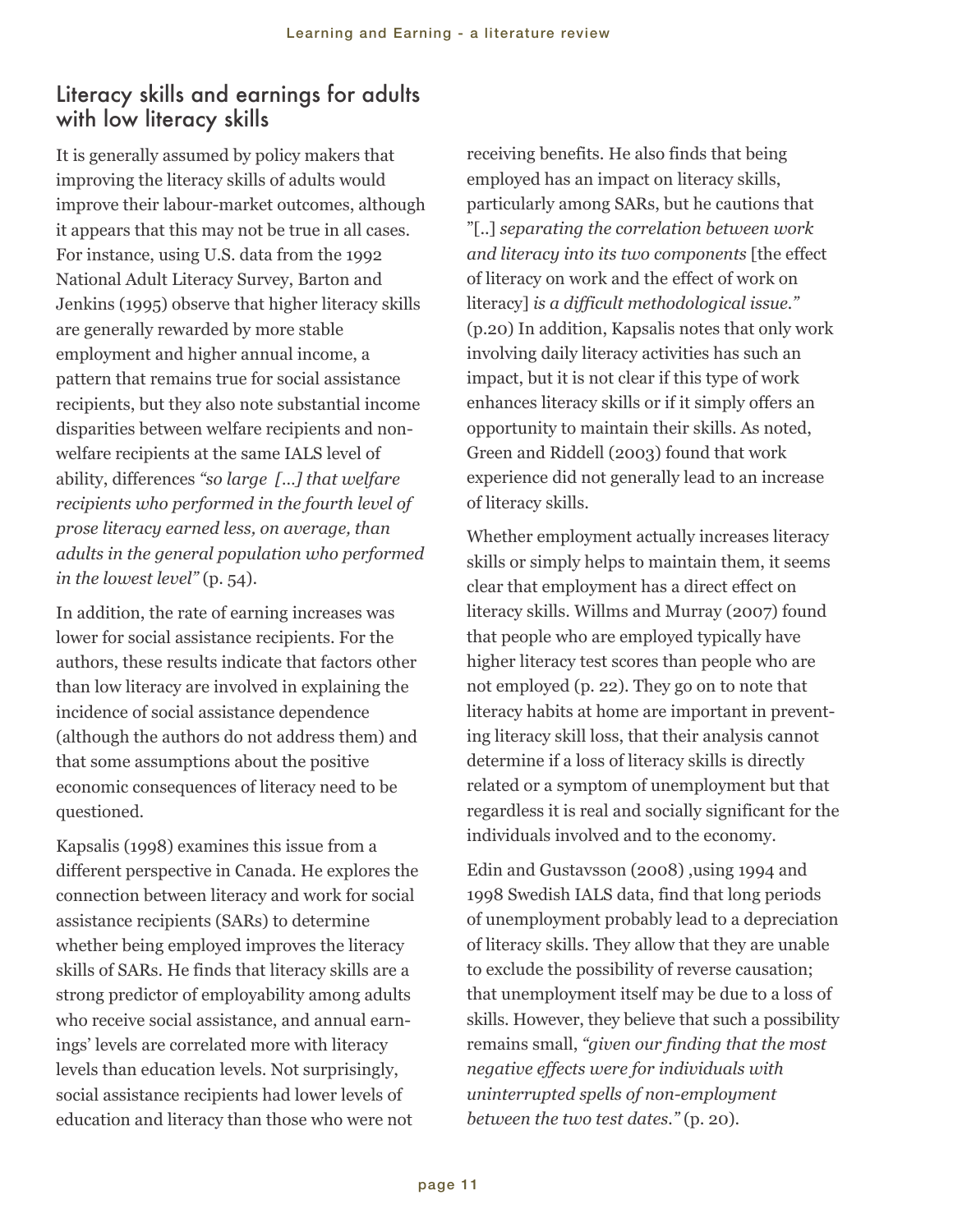#### <span id="page-14-0"></span>Literacy skills and earnings for adults with low literacy skills

It is generally assumed by policy makers that improving the literacy skills of adults would improve their labour-market outcomes, although it appears that this may not be true in all cases. For instance, using U.S. data from the 1992 National Adult Literacy Survey, Barton and Jenkins (1995) observe that higher literacy skills are generally rewarded by more stable employment and higher annual income, a pattern that remains true for social assistance recipients, but they also note substantial income disparities between welfare recipients and nonwelfare recipients at the same IALS level of ability, differences *"so large […] that welfare recipients who performed in the fourth level of prose literacy earned less, on average, than adults in the general population who performed in the lowest level"* (p. 54).

In addition, the rate of earning increases was lower for social assistance recipients. For the authors, these results indicate that factors other than low literacy are involved in explaining the incidence of social assistance dependence (although the authors do not address them) and that some assumptions about the positive economic consequences of literacy need to be questioned.

Kapsalis (1998) examines this issue from a different perspective in Canada. He explores the connection between literacy and work for social assistance recipients (SARs) to determine whether being employed improves the literacy skills of SARs. He finds that literacy skills are a strong predictor of employability among adults who receive social assistance, and annual earnings' levels are correlated more with literacy levels than education levels. Not surprisingly, social assistance recipients had lower levels of education and literacy than those who were not

receiving benefits. He also finds that being employed has an impact on literacy skills, particularly among SARs, but he cautions that "[..] *separating the correlation between work and literacy into its two components* [the effect of literacy on work and the effect of work on literacy] *is a difficult methodological issue."* (p.20) In addition, Kapsalis notes that only work involving daily literacy activities has such an impact, but it is not clear if this type of work enhances literacy skills or if it simply offers an opportunity to maintain their skills. As noted, Green and Riddell (2003) found that work experience did not generally lead to an increase of literacy skills.

Whether employment actually increases literacy skills or simply helps to maintain them, it seems clear that employment has a direct effect on literacy skills. Willms and Murray (2007) found that people who are employed typically have higher literacy test scores than people who are not employed (p. 22). They go on to note that literacy habits at home are important in preventing literacy skill loss, that their analysis cannot determine if a loss of literacy skills is directly related or a symptom of unemployment but that regardless it is real and socially significant for the individuals involved and to the economy.

Edin and Gustavsson (2008) ,using 1994 and 1998 Swedish IALS data, find that long periods of unemployment probably lead to a depreciation of literacy skills. They allow that they are unable to exclude the possibility of reverse causation; that unemployment itself may be due to a loss of skills. However, they believe that such a possibility remains small, *"given our finding that the most negative effects were for individuals with uninterrupted spells of non-employment between the two test dates."* (p. 20).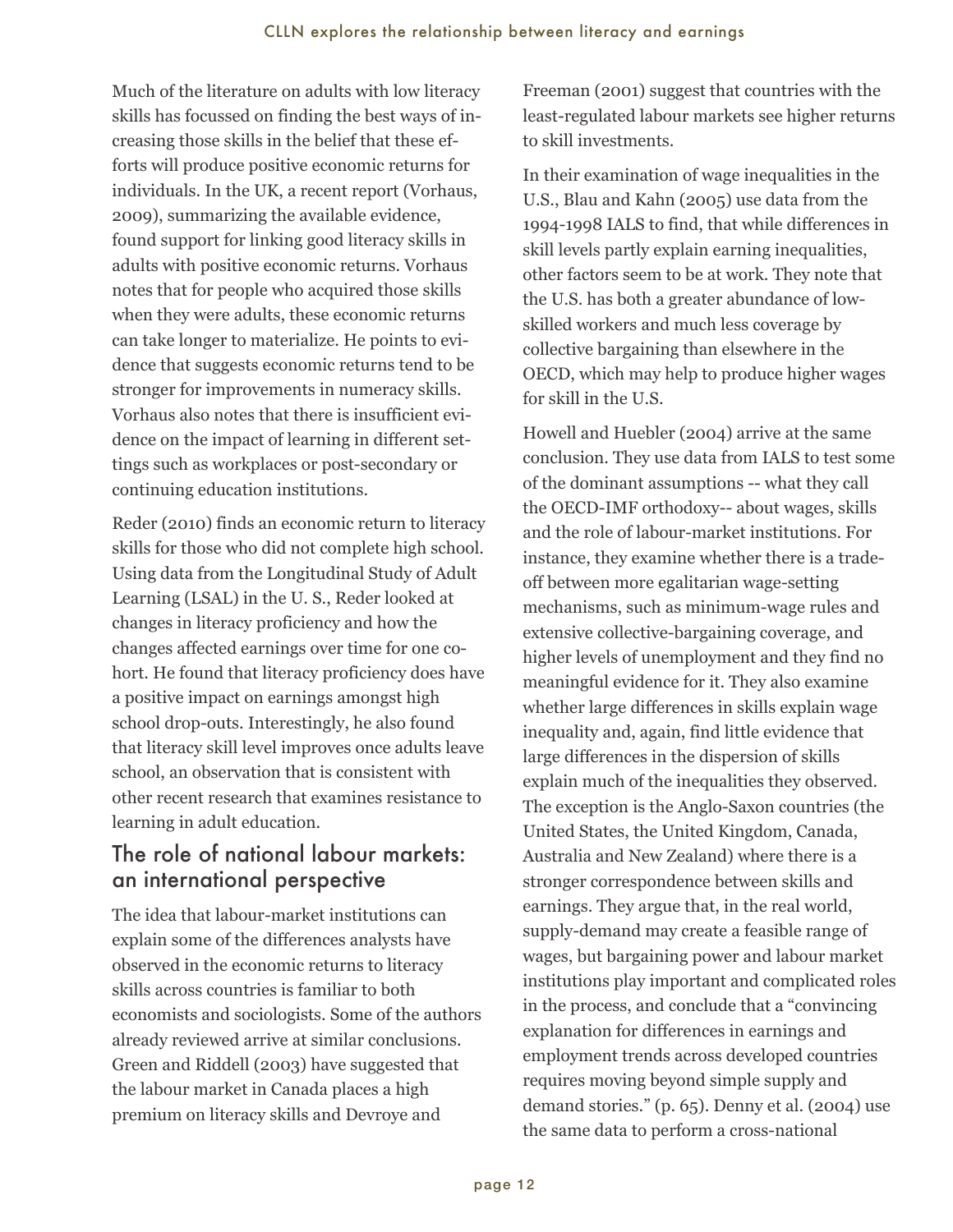<span id="page-15-0"></span>Much of the literature on adults with low literacy skills has focussed on finding the best ways of increasing those skills in the belief that these efforts will produce positive economic returns for individuals. In the UK, a recent report (Vorhaus, 2009), summarizing the available evidence, found support for linking good literacy skills in adults with positive economic returns. Vorhaus notes that for people who acquired those skills when they were adults, these economic returns can take longer to materialize. He points to evidence that suggests economic returns tend to be stronger for improvements in numeracy skills. Vorhaus also notes that there is insufficient evidence on the impact of learning in different settings such as workplaces or post-secondary or continuing education institutions.

Reder (2010) finds an economic return to literacy skills for those who did not complete high school. Using data from the Longitudinal Study of Adult Learning (LSAL) in the U. S., Reder looked at changes in literacy proficiency and how the changes affected earnings over time for one cohort. He found that literacy proficiency does have a positive impact on earnings amongst high school drop-outs. Interestingly, he also found that literacy skill level improves once adults leave school, an observation that is consistent with other recent research that examines resistance to learning in adult education.

#### The role of national labour markets: an international perspective

The idea that labour-market institutions can explain some of the differences analysts have observed in the economic returns to literacy skills across countries is familiar to both economists and sociologists. Some of the authors already reviewed arrive at similar conclusions. Green and Riddell (2003) have suggested that the labour market in Canada places a high premium on literacy skills and Devroye and

 Freeman (2001) suggest that countries with the least-regulated labour markets see higher returns to skill investments.

In their examination of wage inequalities in the U.S., Blau and Kahn (2005) use data from the 1994-1998 IALS to find, that while differences in skill levels partly explain earning inequalities, other factors seem to be at work. They note that the U.S. has both a greater abundance of lowskilled workers and much less coverage by collective bargaining than elsewhere in the OECD, which may help to produce higher wages for skill in the U.S.

Howell and Huebler (2004) arrive at the same conclusion. They use data from IALS to test some of the dominant assumptions -- what they call the OECD-IMF orthodoxy-- about wages, skills and the role of labour-market institutions. For instance, they examine whether there is a tradeoff between more egalitarian wage-setting mechanisms, such as minimum-wage rules and extensive collective-bargaining coverage, and higher levels of unemployment and they find no meaningful evidence for it. They also examine whether large differences in skills explain wage inequality and, again, find little evidence that large differences in the dispersion of skills explain much of the inequalities they observed. The exception is the Anglo-Saxon countries (the United States, the United Kingdom, Canada, Australia and New Zealand) where there is a stronger correspondence between skills and earnings. They argue that, in the real world, supply-demand may create a feasible range of wages, but bargaining power and labour market institutions play important and complicated roles in the process, and conclude that a "convincing explanation for differences in earnings and employment trends across developed countries requires moving beyond simple supply and demand stories." (p. 65). Denny et al. (2004) use the same data to perform a cross-national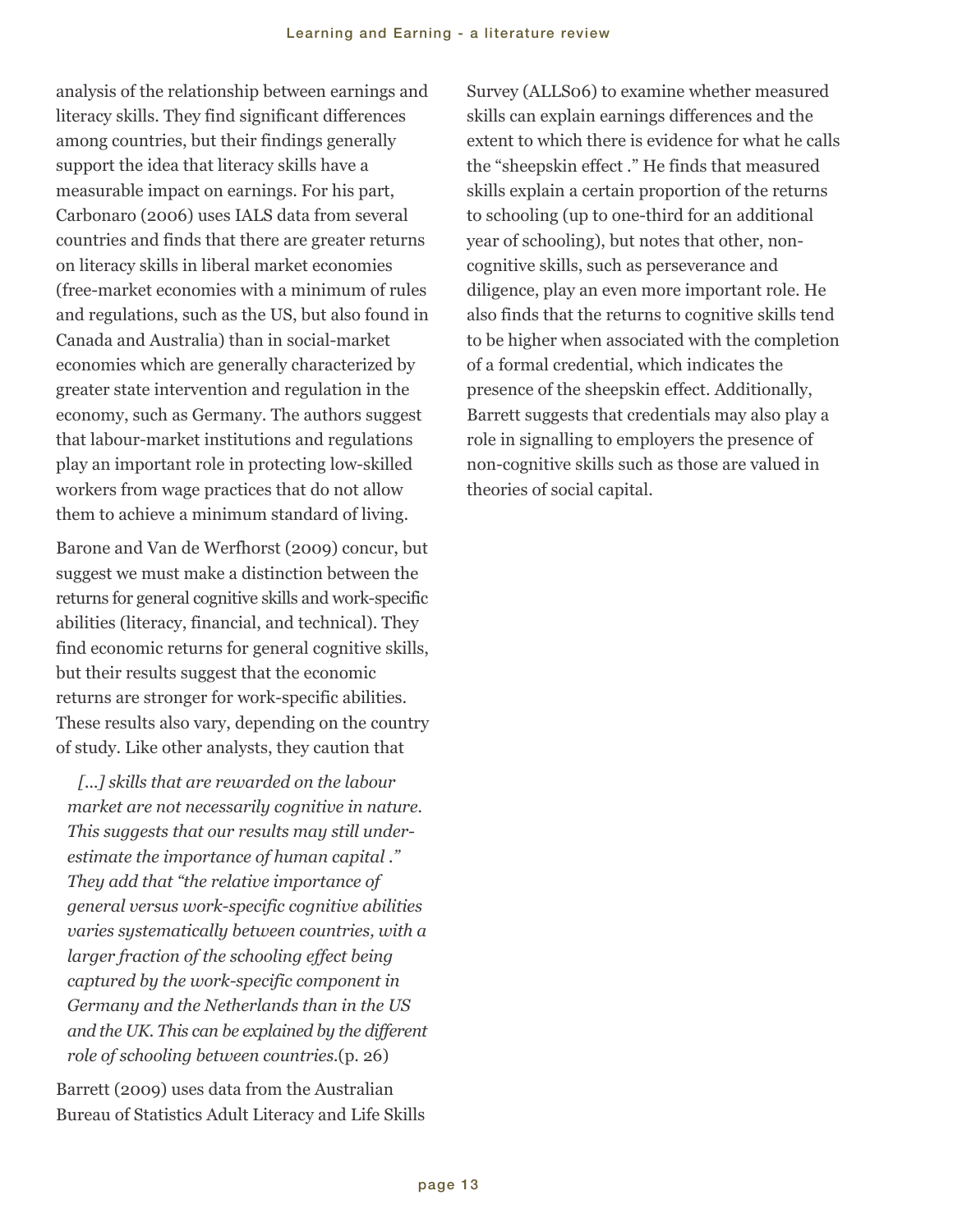analysis of the relationship between earnings and literacy skills. They find significant differences among countries, but their findings generally support the idea that literacy skills have a measurable impact on earnings. For his part, Carbonaro (2006) uses IALS data from several countries and finds that there are greater returns on literacy skills in liberal market economies (free-market economies with a minimum of rules and regulations, such as the US, but also found in Canada and Australia) than in social-market economies which are generally characterized by greater state intervention and regulation in the economy, such as Germany. The authors suggest that labour-market institutions and regulations play an important role in protecting low-skilled workers from wage practices that do not allow them to achieve a minimum standard of living.

Barone and Van de Werfhorst (2009) concur, but suggest we must make a distinction between the returns for general cognitive skills and work-specific abilities (literacy, financial, and technical). They find economic returns for general cognitive skills, but their results suggest that the economic returns are stronger for work-specific abilities. These results also vary, depending on the country of study. Like other analysts, they caution that

*[...] skills that are rewarded on the labour market are not necessarily cognitive in nature. This suggests that our results may still underestimate the importance of human capital ." They add that "the relative importance of general versus work-specific cognitive abilities varies systematically between countries, with a larger fraction of the schooling effect being captured by the work-specific component in Germany and the Netherlands than in the US and the UK. This can be explained by the different role of schooling between countries.*(p. 26)

Barrett (2009) uses data from the Australian Bureau of Statistics Adult Literacy and Life Skills Survey (ALLS06) to examine whether measured skills can explain earnings differences and the extent to which there is evidence for what he calls the "sheepskin effect ." He finds that measured skills explain a certain proportion of the returns to schooling (up to one-third for an additional year of schooling), but notes that other, noncognitive skills, such as perseverance and diligence, play an even more important role. He also finds that the returns to cognitive skills tend to be higher when associated with the completion of a formal credential, which indicates the presence of the sheepskin effect. Additionally, Barrett suggests that credentials may also play a role in signalling to employers the presence of non-cognitive skills such as those are valued in theories of social capital.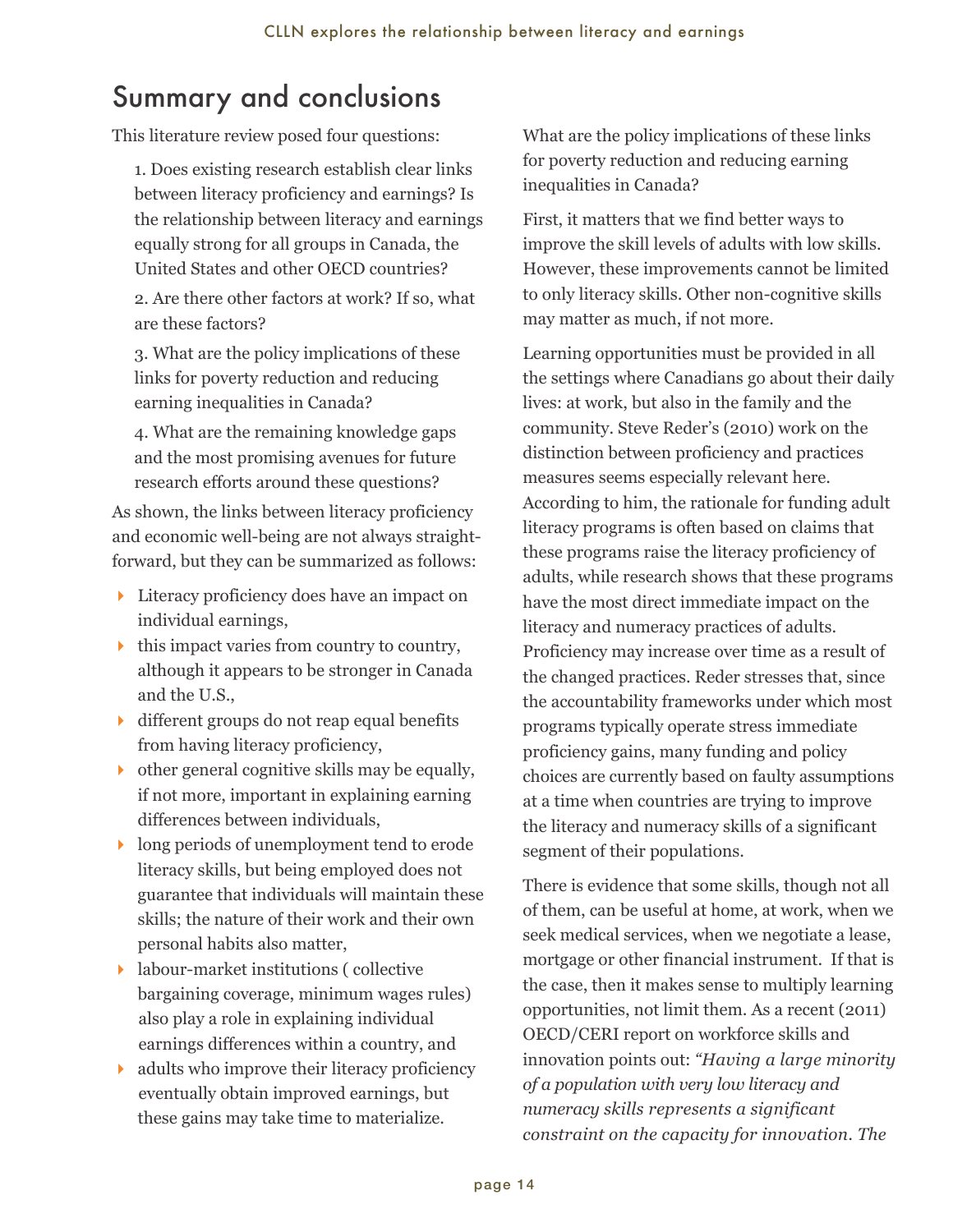# <span id="page-17-0"></span>Summary and conclusions

This literature review posed four questions:

1. Does existing research establish clear links between literacy proficiency and earnings? Is the relationship between literacy and earnings equally strong for all groups in Canada, the United States and other OECD countries?

2. Are there other factors at work? If so, what are these factors?

3. What are the policy implications of these links for poverty reduction and reducing earning inequalities in Canada?

4. What are the remaining knowledge gaps and the most promising avenues for future research efforts around these questions?

As shown, the links between literacy proficiency and economic well-being are not always straightforward, but they can be summarized as follows:

- ▶ Literacy proficiency does have an impact on individual earnings,
- $\blacktriangleright$  this impact varies from country to country, although it appears to be stronger in Canada and the U.S.,
- $\bullet$  different groups do not reap equal benefits from having literacy proficiency,
- $\rightarrow$  other general cognitive skills may be equally, if not more, important in explaining earning differences between individuals,
- **If** long periods of unemployment tend to erode literacy skills, but being employed does not guarantee that individuals will maintain these skills; the nature of their work and their own personal habits also matter,
- 4 labour-market institutions ( collective bargaining coverage, minimum wages rules) also play a role in explaining individual earnings differences within a country, and
- $\blacktriangleright$  adults who improve their literacy proficiency eventually obtain improved earnings, but these gains may take time to materialize.

What are the policy implications of these links for poverty reduction and reducing earning inequalities in Canada?

First, it matters that we find better ways to improve the skill levels of adults with low skills. However, these improvements cannot be limited to only literacy skills. Other non-cognitive skills may matter as much, if not more.

Learning opportunities must be provided in all the settings where Canadians go about their daily lives: at work, but also in the family and the community. Steve Reder's (2010) work on the distinction between proficiency and practices measures seems especially relevant here. According to him, the rationale for funding adult literacy programs is often based on claims that these programs raise the literacy proficiency of adults, while research shows that these programs have the most direct immediate impact on the literacy and numeracy practices of adults. Proficiency may increase over time as a result of the changed practices. Reder stresses that, since the accountability frameworks under which most programs typically operate stress immediate proficiency gains, many funding and policy choices are currently based on faulty assumptions at a time when countries are trying to improve the literacy and numeracy skills of a significant segment of their populations.

There is evidence that some skills, though not all of them, can be useful at home, at work, when we seek medical services, when we negotiate a lease, mortgage or other financial instrument. If that is the case, then it makes sense to multiply learning opportunities, not limit them. As a recent (2011) OECD/CERI report on workforce skills and innovation points out: *"Having a large minority of a population with very low literacy and numeracy skills represents a significant constraint on the capacity for innovation. The*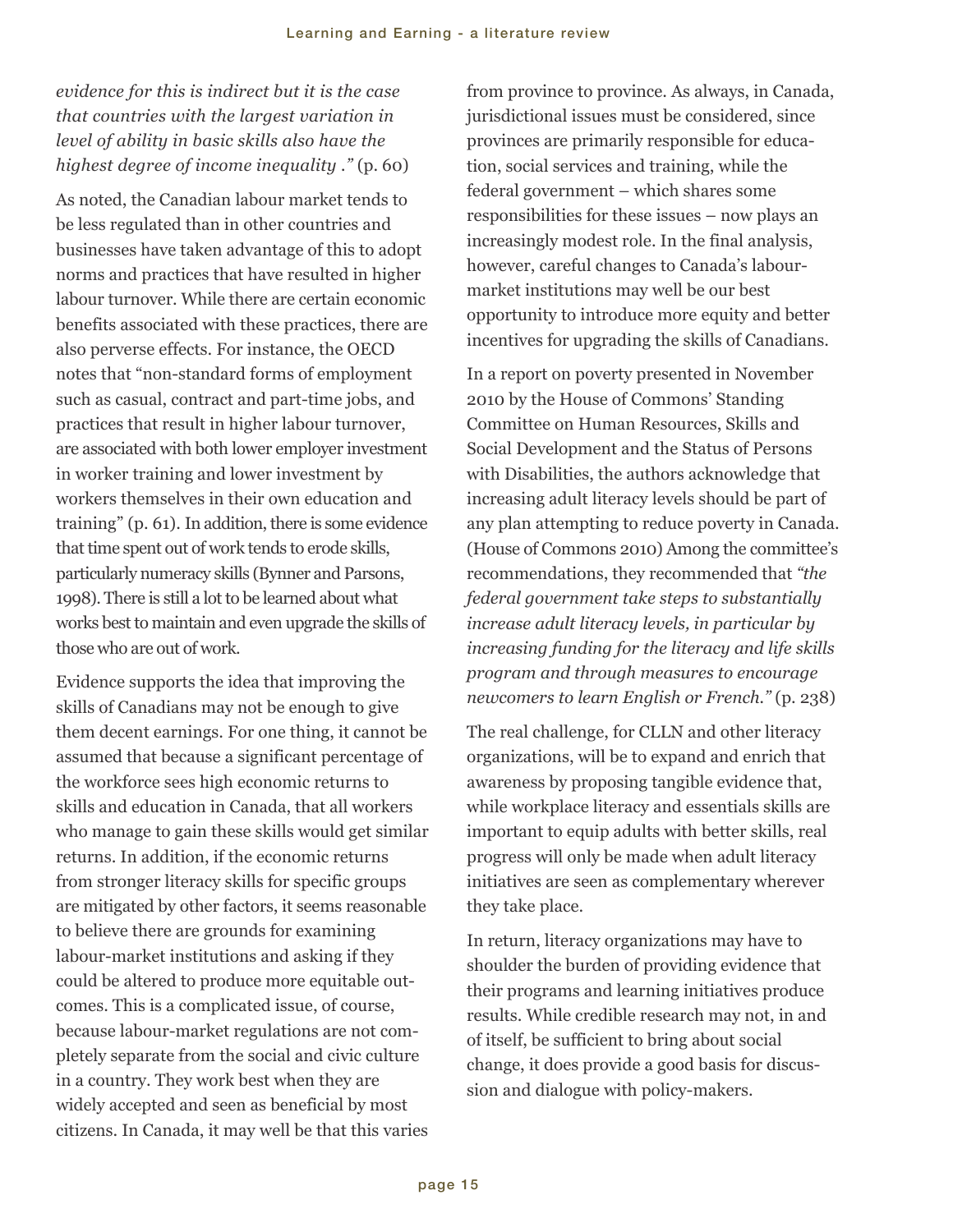#### *evidence for this is indirect but it is the case that countries with the largest variation in level of ability in basic skills also have the highest degree of income inequality ."* (p. 60)

As noted, the Canadian labour market tends to be less regulated than in other countries and businesses have taken advantage of this to adopt norms and practices that have resulted in higher labour turnover. While there are certain economic benefits associated with these practices, there are also perverse effects. For instance, the OECD notes that "non-standard forms of employment such as casual, contract and part-time jobs, and practices that result in higher labour turnover, are associated with both lower employer investment in worker training and lower investment by workers themselves in their own education and training" (p. 61). In addition, there is some evidence that time spent out of work tends to erode skills, particularly numeracy skills (Bynner and Parsons, 1998). There is still a lot to be learned about what works best to maintain and even upgrade the skills of those who are out of work.

Evidence supports the idea that improving the skills of Canadians may not be enough to give them decent earnings. For one thing, it cannot be assumed that because a significant percentage of the workforce sees high economic returns to skills and education in Canada, that all workers who manage to gain these skills would get similar returns. In addition, if the economic returns from stronger literacy skills for specific groups are mitigated by other factors, it seems reasonable to believe there are grounds for examining labour-market institutions and asking if they could be altered to produce more equitable outcomes. This is a complicated issue, of course, because labour-market regulations are not completely separate from the social and civic culture in a country. They work best when they are widely accepted and seen as beneficial by most citizens. In Canada, it may well be that this varies

from province to province. As always, in Canada, jurisdictional issues must be considered, since provinces are primarily responsible for education, social services and training, while the federal government – which shares some responsibilities for these issues – now plays an increasingly modest role. In the final analysis, however, careful changes to Canada's labourmarket institutions may well be our best opportunity to introduce more equity and better incentives for upgrading the skills of Canadians.

In a report on poverty presented in November 2010 by the House of Commons' Standing Committee on Human Resources, Skills and Social Development and the Status of Persons with Disabilities, the authors acknowledge that increasing adult literacy levels should be part of any plan attempting to reduce poverty in Canada. (House of Commons 2010) Among the committee's recommendations, they recommended that *"the federal government take steps to substantially increase adult literacy levels, in particular by increasing funding for the literacy and life skills program and through measures to encourage newcomers to learn English or French."* (p. 238)

The real challenge, for CLLN and other literacy organizations, will be to expand and enrich that awareness by proposing tangible evidence that, while workplace literacy and essentials skills are important to equip adults with better skills, real progress will only be made when adult literacy initiatives are seen as complementary wherever they take place.

In return, literacy organizations may have to shoulder the burden of providing evidence that their programs and learning initiatives produce results. While credible research may not, in and of itself, be sufficient to bring about social change, it does provide a good basis for discussion and dialogue with policy-makers.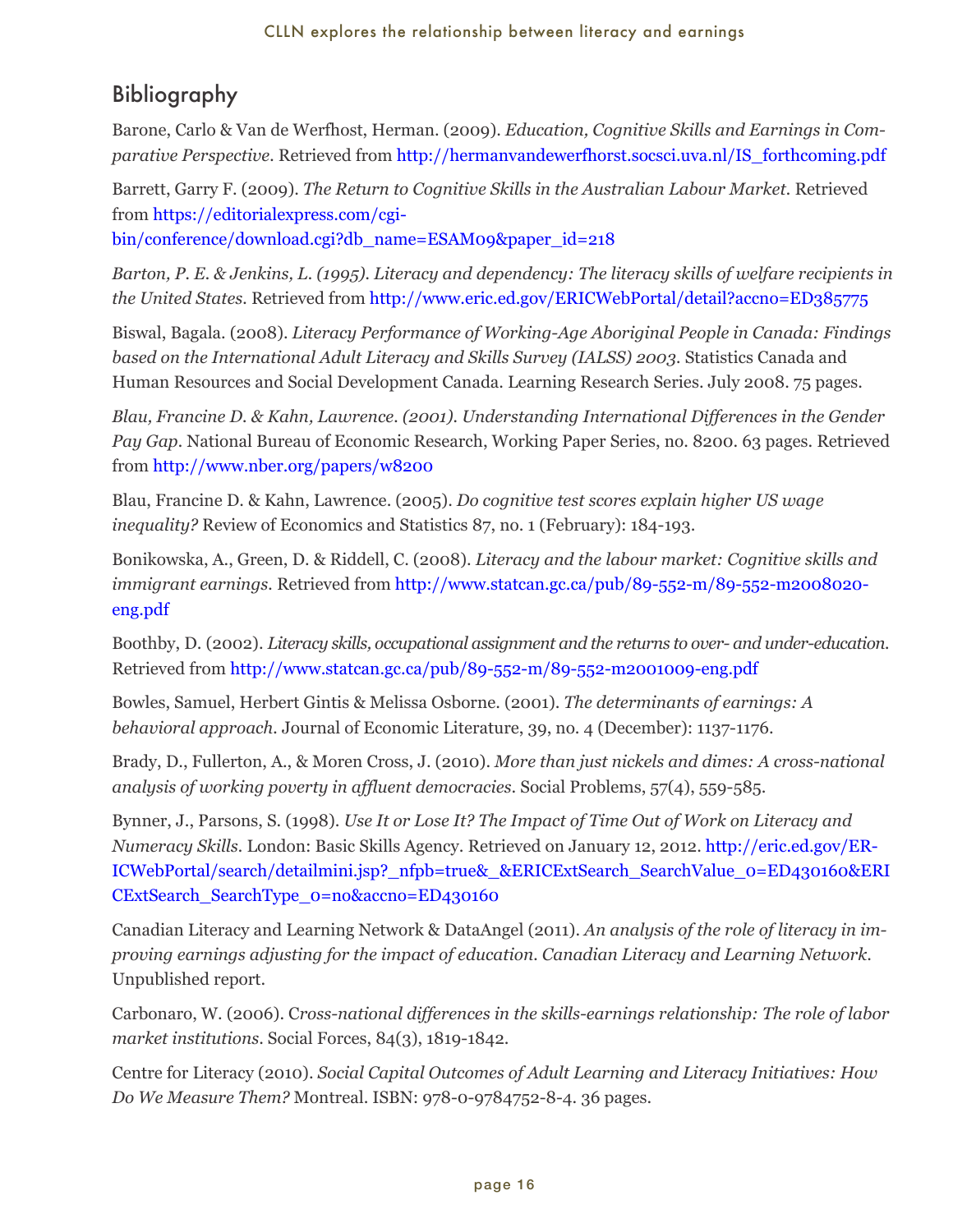## <span id="page-19-0"></span>Bibliography

Barone, Carlo & Van de Werfhost, Herman. (2009). *Education, Cognitive Skills and Earnings in Comparative Perspective.* Retrieved from http://hermanvandewerfhorst.socsci.uva.nl/IS\_forthcoming.pdf

Barrett, Garry F. (2009). *The Return to Cognitive Skills in the Australian Labour Market.* Retrieved from https://editorialexpress.com/cgi-

bin/conference/download.cgi?db\_name=ESAM09&paper\_id=218

*Barton, P. E. & Jenkins, L. (1995). Literacy and dependency: The literacy skills of welfare recipients in the United States.* Retrieved from http://www.eric.ed.gov/ERICWebPortal/detail?accno=ED385775

Biswal, Bagala. (2008). *Literacy Performance of Working-Age Aboriginal People in Canada: Findings based on the International Adult Literacy and Skills Survey (IALSS) 2003.* Statistics Canada and Human Resources and Social Development Canada. Learning Research Series. July 2008. 75 pages.

*Blau, Francine D. & Kahn, Lawrence. (2001). Understanding International Differences in the Gender Pay Gap.* National Bureau of Economic Research, Working Paper Series, no. 8200. 63 pages. Retrieved from http://www.nber.org/papers/w8200

Blau, Francine D. & Kahn, Lawrence. (2005). *Do cognitive test scores explain higher US wage inequality?* Review of Economics and Statistics 87, no. 1 (February): 184-193.

Bonikowska, A., Green, D. & Riddell, C. (2008). *Literacy and the labour market: Cognitive skills and immigrant earnings.* Retrieved from http://www.statcan.gc.ca/pub/89-552-m/89-552-m2008020eng.pdf

Boothby, D. (2002). *Literacy skills, occupational assignment and the returns to over- and under-education.* Retrieved from http://www.statcan.gc.ca/pub/89-552-m/89-552-m2001009-eng.pdf

Bowles, Samuel, Herbert Gintis & Melissa Osborne. (2001). *The determinants of earnings: A behavioral approach.* Journal of Economic Literature, 39, no. 4 (December): 1137-1176.

Brady, D., Fullerton, A., & Moren Cross, J. (2010). *More than just nickels and dimes: A cross-national analysis of working poverty in affluent democracies*. Social Problems, 57(4), 559-585.

Bynner, J., Parsons, S. (1998). *Use It or Lose It? The Impact of Time Out of Work on Literacy and Numeracy Skills.* London: Basic Skills Agency. Retrieved on January 12, 2012. [http://eric.ed.gov/ER-](http://eric.ed.gov/ERICWebPortal/search/detailmini.jsp?_nfpb=true&_&ERICExtSearch_SearchValue_0=ED430160&ERICExtSearch_SearchType_0=no&accno=ED430160)[ICWebPortal/search/detailmini.jsp?\\_nfpb=true&\\_&ERICExtSearch\\_SearchValue\\_0=ED430160&ERI](http://eric.ed.gov/ERICWebPortal/search/detailmini.jsp?_nfpb=true&_&ERICExtSearch_SearchValue_0=ED430160&ERICExtSearch_SearchType_0=no&accno=ED430160) CExtSearch\_SearchType\_0=no&accno=ED430160

Canadian Literacy and Learning Network & DataAngel (2011). *An analysis of the role of literacy in improving earnings adjusting for the impact of education. Canadian Literacy and Learning Network*. Unpublished report.

Carbonaro, W. (2006). C*ross-national differences in the skills-earnings relationship: The role of labor market institutions*. Social Forces, 84(3), 1819-1842.

Centre for Literacy (2010). *Social Capital Outcomes of Adult Learning and Literacy Initiatives: How Do We Measure Them?* Montreal. ISBN: 978-0-9784752-8-4. 36 pages.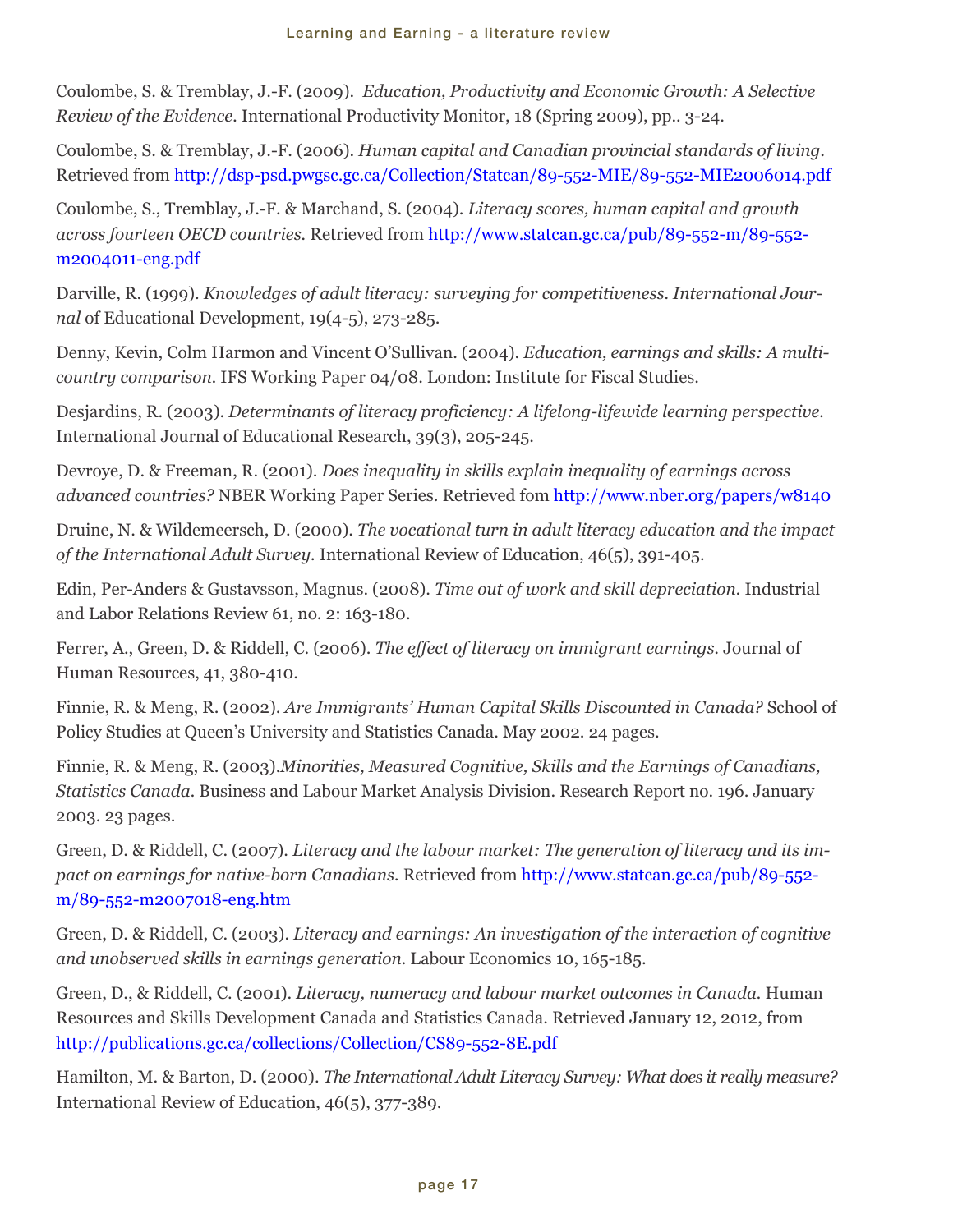Coulombe, S. & Tremblay, J.-F. (2009). *Education, Productivity and Economic Growth: A Selective Review of the Evidence.* International Productivity Monitor, 18 (Spring 2009), pp.. 3-24.

Coulombe, S. & Tremblay, J.-F. (2006). *Human capital and Canadian provincial standards of living.* Retrieved from http://dsp-psd.pwgsc.gc.ca/Collection/Statcan/89-552-MIE/89-552-MIE2006014.pdf

Coulombe, S., Tremblay, J.-F. & Marchand, S. (2004). *Literacy scores, human capital and growth across fourteen OECD countries.* Retrieved from http://www.statcan.gc.ca/pub/89-552-m/89-552 m2004011-eng.pdf

Darville, R. (1999). *Knowledges of adult literacy: surveying for competitiveness. International Journal* of Educational Development, 19(4-5), 273-285.

Denny, Kevin, Colm Harmon and Vincent O'Sullivan. (2004). *Education, earnings and skills: A multicountry comparison.* IFS Working Paper 04/08. London: Institute for Fiscal Studies.

Desjardins, R. (2003). *Determinants of literacy proficiency: A lifelong-lifewide learning perspective.* International Journal of Educational Research, 39(3), 205-245.

Devroye, D. & Freeman, R. (2001). *Does inequality in skills explain inequality of earnings across advanced countries?* NBER Working Paper Series. Retrieved fom http://www.nber.org/papers/w8140

Druine, N. & Wildemeersch, D. (2000). *The vocational turn in adult literacy education and the impact of the International Adult Survey.* International Review of Education, 46(5), 391-405.

Edin, Per-Anders & Gustavsson, Magnus. (2008). *Time out of work and skill depreciation.* Industrial and Labor Relations Review 61, no. 2: 163-180.

Ferrer, A., Green, D. & Riddell, C. (2006). *The effect of literacy on immigrant earnings.* Journal of Human Resources, 41, 380-410.

Finnie, R. & Meng, R. (2002). *Are Immigrants' Human Capital Skills Discounted in Canada?* School of Policy Studies at Queen's University and Statistics Canada. May 2002. 24 pages.

Finnie, R. & Meng, R. (2003).*Minorities, Measured Cognitive, Skills and the Earnings of Canadians, Statistics Canada.* Business and Labour Market Analysis Division. Research Report no. 196. January 2003. 23 pages.

Green, D. & Riddell, C. (2007). *Literacy and the labour market: The generation of literacy and its impact on earnings for native-born Canadians.* Retrieved from http://www.statcan.gc.ca/pub/89-552 m/89-552-m2007018-eng.htm

Green, D. & Riddell, C. (2003). *Literacy and earnings: An investigation of the interaction of cognitive and unobserved skills in earnings generation.* Labour Economics 10, 165-185.

Green, D., & Riddell, C. (2001). *Literacy, numeracy and labour market outcomes in Canada.* Human Resources and Skills Development Canada and Statistics Canada. Retrieved January 12, 2012, from http://publications.gc.ca/collections/Collection/CS89-552-8E.pdf

Hamilton, M. & Barton, D. (2000). *The International Adult Literacy Survey: What does it really measure?* International Review of Education, 46(5), 377-389.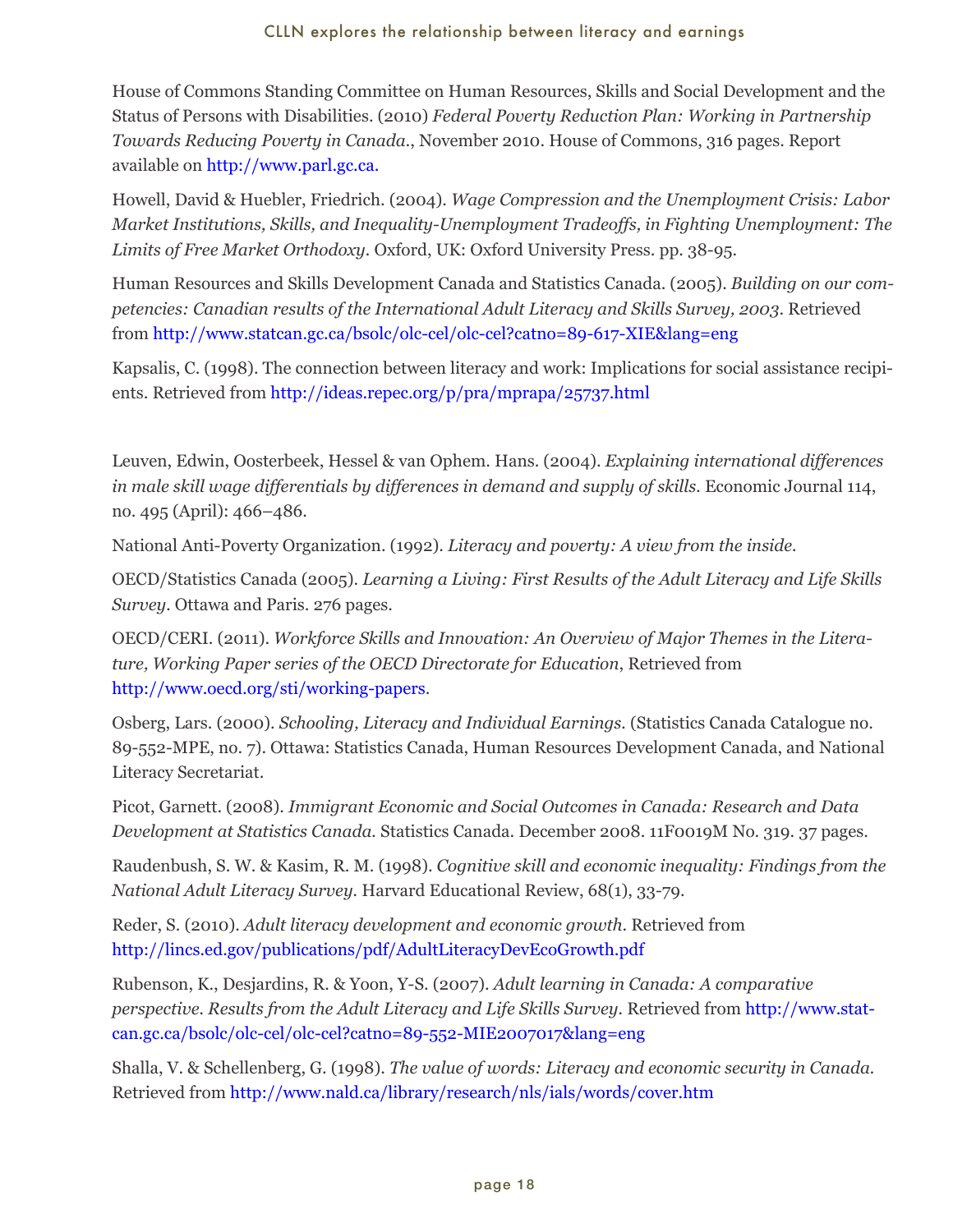House of Commons Standing Committee on Human Resources, Skills and Social Development and the Status of Persons with Disabilities. (2010) *Federal Poverty Reduction Plan: Working in Partnership Towards Reducing Poverty in Canada.*, November 2010. House of Commons, 316 pages. Report available on http://www.parl.gc.ca.

Howell, David & Huebler, Friedrich. (2004). *Wage Compression and the Unemployment Crisis: Labor Market Institutions, Skills, and Inequality-Unemployment Tradeoffs, in Fighting Unemployment: The Limits of Free Market Orthodoxy.* Oxford, UK: Oxford University Press. pp. 38-95.

Human Resources and Skills Development Canada and Statistics Canada. (2005). *Building on our competencies: Canadian results of the International Adult Literacy and Skills Survey, 2003*. Retrieved from http://www.statcan.gc.ca/bsolc/olc-cel/olc-cel?catno=89-617-XIE&lang=eng

Kapsalis, C. (1998). The connection between literacy and work: Implications for social assistance recipients. Retrieved from http://ideas.repec.org/p/pra/mprapa/25737.html

Leuven, Edwin, Oosterbeek, Hessel & van Ophem. Hans. (2004). *Explaining international differences in male skill wage differentials by differences in demand and supply of skills.* Economic Journal 114, no. 495 (April): 466–486.

National Anti-Poverty Organization. (1992). *Literacy and poverty: A view from the inside.*

OECD/Statistics Canada (2005). *Learning a Living: First Results of the Adult Literacy and Life Skills Survey.* Ottawa and Paris. 276 pages.

OECD/CERI. (2011). *Workforce Skills and Innovation: An Overview of Major Themes in the Literature, Working Paper series of the OECD Directorate for Education*, Retrieved from http://www.oecd.org/sti/working-papers.

Osberg, Lars. (2000). *Schooling, Literacy and Individual Earnings.* (Statistics Canada Catalogue no. 89-552-MPE, no. 7). Ottawa: Statistics Canada, Human Resources Development Canada, and National Literacy Secretariat.

Picot, Garnett. (2008). *Immigrant Economic and Social Outcomes in Canada: Research and Data Development at Statistics Canada.* Statistics Canada. December 2008. 11F0019M No. 319. 37 pages.

Raudenbush, S. W. & Kasim, R. M. (1998). *Cognitive skill and economic inequality: Findings from the National Adult Literacy Survey.* Harvard Educational Review, 68(1), 33-79.

Reder, S. (2010). *Adult literacy development and economic growth*. Retrieved from http://lincs.ed.gov/publications/pdf/AdultLiteracyDevEcoGrowth.pdf

Rubenson, K., Desjardins, R. & Yoon, Y-S. (2007). *Adult learning in Canada: A comparative perspective. Results from the Adult Literacy and Life Skills Survey.* Retrieved from http://www.statcan.gc.ca/bsolc/olc-cel/olc-cel?catno=89-552-MIE2007017&lang=eng

Shalla, V. & Schellenberg, G. (1998). *The value of words: Literacy and economic security in Canada.* Retrieved from http://www.nald.ca/library/research/nls/ials/words/cover.htm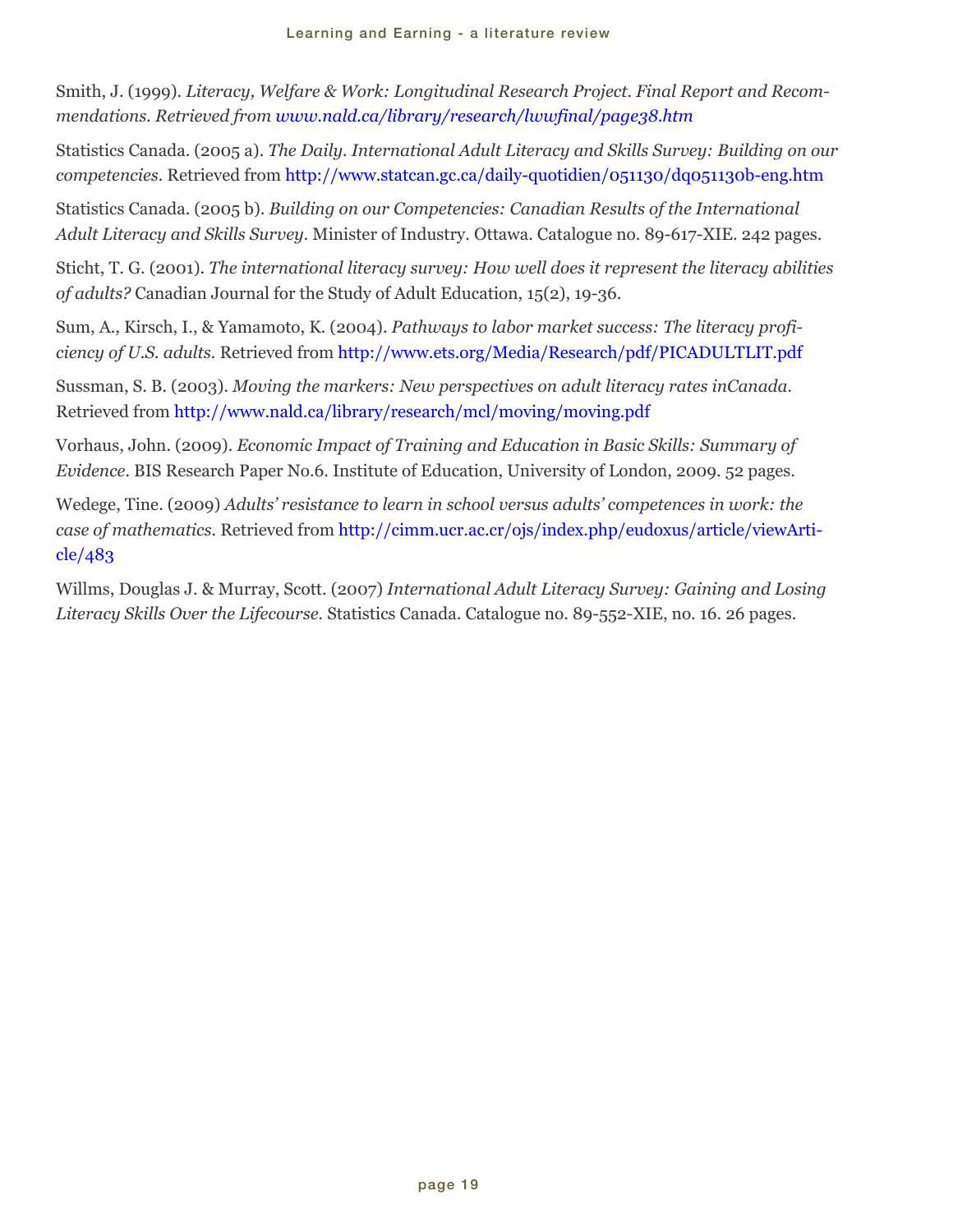Smith, J. (1999). *Literacy, Welfare & Work: Longitudinal Research Project. Final Report and Recommendations. Retrieved from www.nald.ca/library/research/lwwfinal/page38.htm*

Statistics Canada. (2005 a). *The Daily. International Adult Literacy and Skills Survey: Building on our competencies.* Retrieved from http://www.statcan.gc.ca/daily-quotidien/051130/dq051130b-eng.htm

Statistics Canada. (2005 b). *Building on our Competencies: Canadian Results of the International Adult Literacy and Skills Survey.* Minister of Industry. Ottawa. Catalogue no. 89-617-XIE. 242 pages.

Sticht, T. G. (2001). *The international literacy survey: How well does it represent the literacy abilities of adults?* Canadian Journal for the Study of Adult Education, 15(2), 19-36.

Sum, A., Kirsch, I., & Yamamoto, K. (2004). *Pathways to labor market success: The literacy proficiency of U.S. adults.* Retrieved from http://www.ets.org/Media/Research/pdf/PICADULTLIT.pdf

Sussman, S. B. (2003). *Moving the markers: New perspectives on adult literacy rates inCanada.* Retrieved from http://www.nald.ca/library/research/mcl/moving/moving.pdf

Vorhaus, John. (2009). *Economic Impact of Training and Education in Basic Skills: Summary of Evidence.* BIS Research Paper No.6. Institute of Education, University of London, 2009. 52 pages.

Wedege, Tine. (2009) *Adults' resistance to learn in school versus adults' competences in work: the case of mathematics.* Retrieved from http://cimm.ucr.ac.cr/ojs/index.php/eudoxus/article/viewArticle/483

Willms, Douglas J. & Murray, Scott. (2007) *International Adult Literacy Survey: Gaining and Losing Literacy Skills Over the Lifecourse.* Statistics Canada. Catalogue no. 89-552-XIE, no. 16. 26 pages.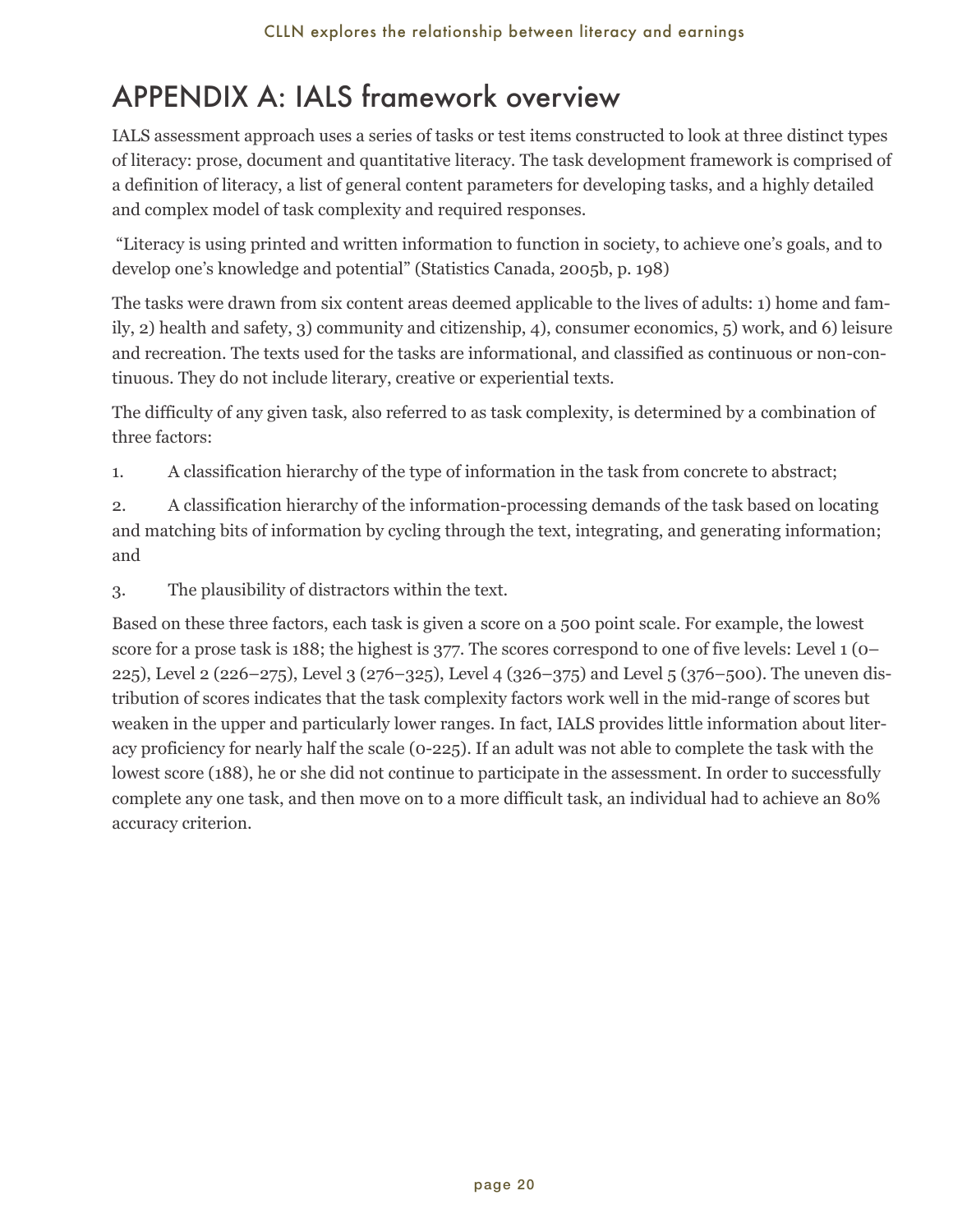## <span id="page-23-0"></span>APPENDIX A: IALS framework overview

IALS assessment approach uses a series of tasks or test items constructed to look at three distinct types of literacy: prose, document and quantitative literacy. The task development framework is comprised of a definition of literacy, a list of general content parameters for developing tasks, and a highly detailed and complex model of task complexity and required responses.

"Literacy is using printed and written information to function in society, to achieve one's goals, and to develop one's knowledge and potential" (Statistics Canada, 2005b, p. 198)

The tasks were drawn from six content areas deemed applicable to the lives of adults: 1) home and family, 2) health and safety, 3) community and citizenship, 4), consumer economics, 5) work, and 6) leisure and recreation. The texts used for the tasks are informational, and classified as continuous or non-continuous. They do not include literary, creative or experiential texts.

The difficulty of any given task, also referred to as task complexity, is determined by a combination of three factors:

1. A classification hierarchy of the type of information in the task from concrete to abstract;

2. A classification hierarchy of the information-processing demands of the task based on locating and matching bits of information by cycling through the text, integrating, and generating information; and

3. The plausibility of distractors within the text.

Based on these three factors, each task is given a score on a 500 point scale. For example, the lowest score for a prose task is 188; the highest is 377. The scores correspond to one of five levels: Level 1 (0– 225), Level 2 (226–275), Level 3 (276–325), Level 4 (326–375) and Level 5 (376–500). The uneven distribution of scores indicates that the task complexity factors work well in the mid-range of scores but weaken in the upper and particularly lower ranges. In fact, IALS provides little information about literacy proficiency for nearly half the scale (0-225). If an adult was not able to complete the task with the lowest score (188), he or she did not continue to participate in the assessment. In order to successfully complete any one task, and then move on to a more difficult task, an individual had to achieve an 80% accuracy criterion.